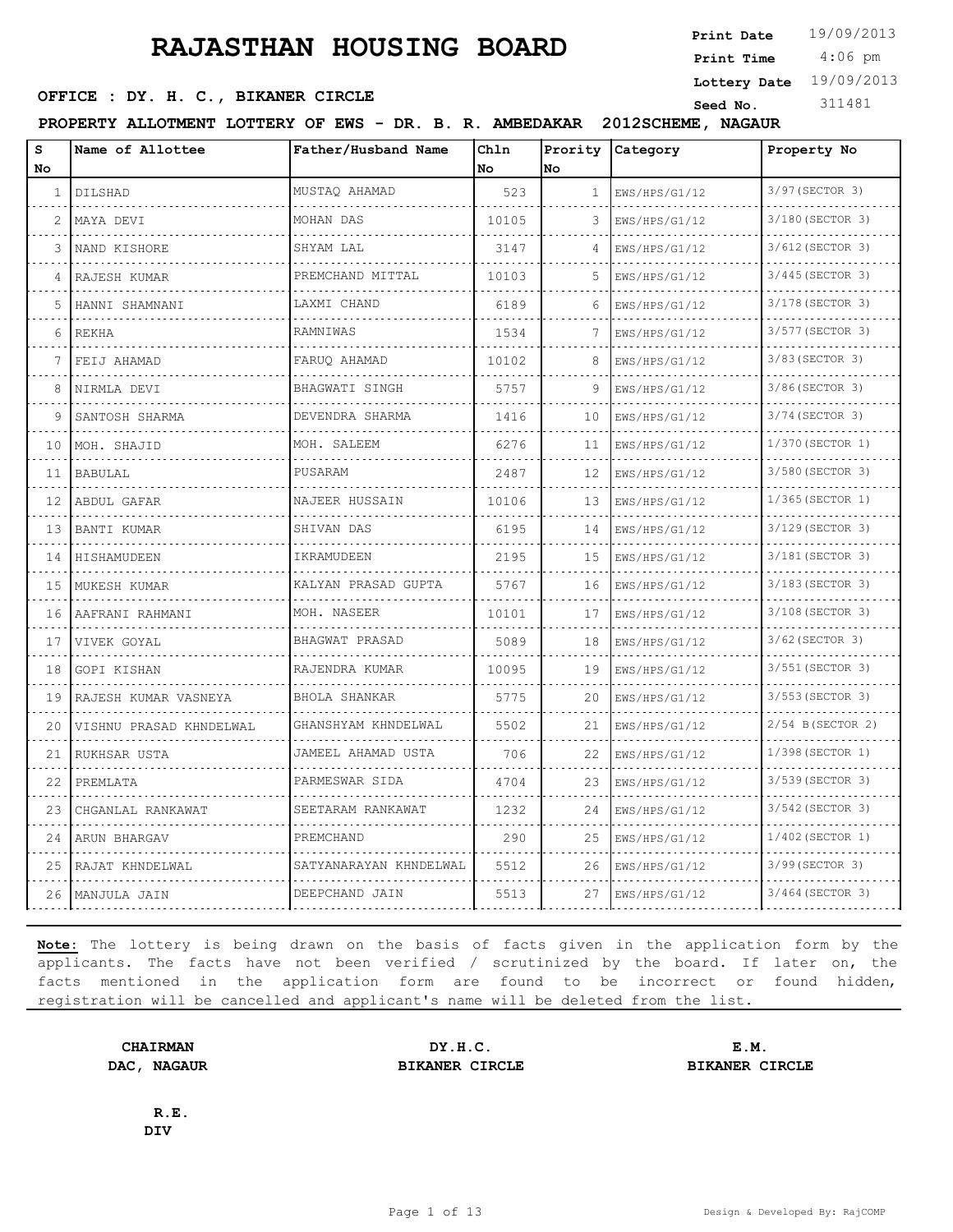4:06 pm **Print Date**  $19/09/2013$ **Print Time**

**Lottery Date** 19/09/2013

#### **SEED OFFICE : DY. H. C., BIKANER CIRCLE Seed No.** 311481

**PROPERTY ALLOTMENT LOTTERY OF EWS - DR. B. R. AMBEDAKAR 2012SCHEME, NAGAUR**

| s<br><b>No</b> | Name of Allottee         | Father/Husband Name    | Chln<br>No. | No.          | Prority Category   | Property No       |
|----------------|--------------------------|------------------------|-------------|--------------|--------------------|-------------------|
| $\mathbf{1}$   | DILSHAD<br>a da da da Mi | MUSTAO AHAMAD          | 523         | $\mathbf{1}$ | EWS/HPS/G1/12<br>. | 3/97 (SECTOR 3)   |
| $\mathcal{L}$  | MAYA DEVI                | MOHAN DAS              | 10105       | 3            | EWS/HPS/G1/12      | 3/180 (SECTOR 3)  |
| 3              | NAND KISHORE             | SHYAM LAL              | 3147        | 4            | EWS/HPS/G1/12      | 3/612 (SECTOR 3)  |
| 4              | RAJESH KUMAR             | PREMCHAND MITTAL       | 10103       | .5.          | EWS/HPS/G1/12      | 3/445 (SECTOR 3)  |
| 5              | HANNI SHAMNANI           | LAXMI CHAND            | 6189        | 6            | EWS/HPS/G1/12      | 3/178 (SECTOR 3)  |
| 6              | <b>REKHA</b>             | RAMNIWAS               | 1534        | 7            | EWS/HPS/G1/12      | 3/577 (SECTOR 3)  |
| 7              | FEIJ AHAMAD<br>.         | FARUO AHAMAD           | 10102       | 8            | EWS/HPS/G1/12      | 3/83 (SECTOR 3)   |
| 8              | NIRMLA DEVI              | BHAGWATI SINGH         | 5757        | 9            | EWS/HPS/G1/12      | 3/86(SECTOR 3)    |
| 9              | SANTOSH SHARMA           | DEVENDRA SHARMA        | 1416        | 10           | EWS/HPS/G1/12      | 3/74 (SECTOR 3)   |
| 10             | MOH. SHAJID              | MOH. SALEEM            | 6276        | 11           | EWS/HPS/G1/12      | 1/370 (SECTOR 1)  |
| 11             | <b>BABULAL</b>           | PUSARAM                | 2487        | 12           | EWS/HPS/G1/12      | 3/580 (SECTOR 3)  |
| 12             | ABDUL GAFAR              | NAJEER HUSSAIN         | 10106       | 13           | EWS/HPS/G1/12      | 1/365(SECTOR 1)   |
| 13             | BANTI KUMAR              | SHIVAN DAS             | 6195        | 14           | EWS/HPS/G1/12      | 3/129 (SECTOR 3)  |
| 14             | <b>HISHAMUDEEN</b>       | IKRAMUDEEN             | 2195        | 15           | EWS/HPS/G1/12      | 3/181 (SECTOR 3)  |
| 15             | MUKESH KUMAR             | KALYAN PRASAD GUPTA    | 5767        | 16           | EWS/HPS/G1/12      | 3/183 (SECTOR 3)  |
| 16             | AAFRANI RAHMANI          | MOH. NASEER            | 10101       | 17           | EWS/HPS/G1/12      | 3/108 (SECTOR 3)  |
| 17             | VIVEK GOYAL              | BHAGWAT PRASAD         | 5089        | 18           | EWS/HPS/G1/12      | 3/62 (SECTOR 3)   |
| 18             | GOPI KISHAN              | RAJENDRA KUMAR         | 10095       | 19           | EWS/HPS/G1/12      | 3/551 (SECTOR 3)  |
| 19             | RAJESH KUMAR VASNEYA     | BHOLA SHANKAR          | 5775        | 20           | EWS/HPS/G1/12      | 3/553 (SECTOR 3)  |
| 20             | VISHNU PRASAD KHNDELWAL  | GHANSHYAM KHNDELWAL    | 5502        | 21           | EWS/HPS/G1/12      | 2/54 B (SECTOR 2) |
| 21             | RUKHSAR USTA             | JAMEEL AHAMAD USTA     | 706         | 22           | EWS/HPS/G1/12      | 1/398 (SECTOR 1)  |
| 22             | PREMLATA                 | PARMESWAR SIDA         | 4704        | 23           | EWS/HPS/G1/12      | 3/539 (SECTOR 3)  |
| 23             | CHGANLAL RANKAWAT        | SEETARAM RANKAWAT      | 1232        | 24           | EWS/HPS/G1/12      | 3/542 (SECTOR 3)  |
| 24             | ARUN BHARGAV             | PREMCHAND              | 290         | 25           | EWS/HPS/G1/12      | 1/402 (SECTOR 1)  |
| 25             | RAJAT KHNDELWAL          | SATYANARAYAN KHNDELWAL | 5512        | 26           | EWS/HPS/G1/12      | 3/99 (SECTOR 3)   |
| 26             | MANJULA JAIN             | DEEPCHAND JAIN         | 5513        | 27           | EWS/HPS/G1/12      | 3/464 (SECTOR 3)  |

**Note:** The lottery is being drawn on the basis of facts given in the application form by the applicants. The facts have not been verified / scrutinized by the board. If later on, the facts mentioned in the application form are found to be incorrect or found hidden, registration will be cancelled and applicant's name will be deleted from the list.

**CHAIRMAN DY.H.C. E.M. DAC, NAGAUR BIKANER CIRCLE BIKANER CIRCLE**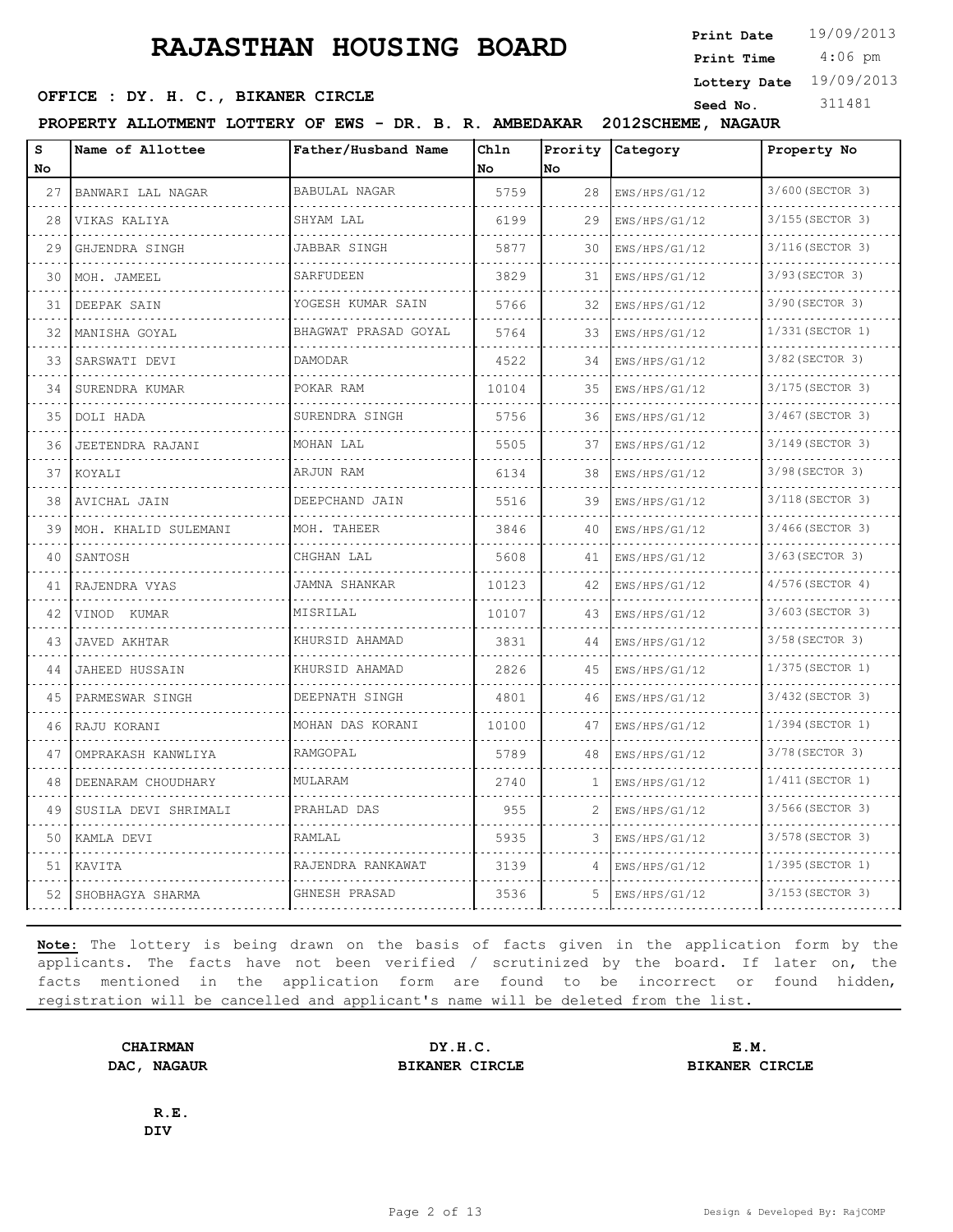4:06 pm **Print Date**  $19/09/2013$ **Print Time**

**Lottery Date** 19/09/2013

#### **SEED OFFICE : DY. H. C., BIKANER CIRCLE Seed No.** 311481

**PROPERTY ALLOTMENT LOTTERY OF EWS - DR. B. R. AMBEDAKAR 2012SCHEME, NAGAUR**

| S<br>No | Name of Allottee      | Father/Husband Name       | Chln<br><b>No</b> | Prority<br>No | Category                               | Property No           |
|---------|-----------------------|---------------------------|-------------------|---------------|----------------------------------------|-----------------------|
| 27      | BANWARI LAL NAGAR     | BABULAL NAGAR             | 5759              | 28            | EWS/HPS/G1/12<br>.                     | 3/600 (SECTOR 3)<br>. |
| 28      | VIKAS KALIYA          | SHYAM LAL                 | 6199              | 29            | EWS/HPS/G1/12                          | 3/155 (SECTOR 3)      |
| 29      | GHJENDRA SINGH        | JABBAR SINGH              | 5877              | 30            | EWS/HPS/G1/12                          | 3/116 (SECTOR 3)      |
| 30      | MOH. JAMEEL           | SARFUDEEN                 | 3829              | 31            | EWS/HPS/G1/12                          | 3/93 (SECTOR 3)       |
| 31      | DEEPAK SAIN           | YOGESH KUMAR SAIN         | 5766              | 32            | EWS/HPS/G1/12                          | 3/90 (SECTOR 3)       |
| 32      | MANISHA GOYAL         | .<br>BHAGWAT PRASAD GOYAL | 5764              | 33            | EWS/HPS/G1/12                          | 1/331 (SECTOR 1)      |
| 33      | SARSWATI DEVI         | DAMODAR                   | 4522              | 34            | EWS/HPS/G1/12                          | 3/82 (SECTOR 3)       |
| 34      | .<br>SURENDRA KUMAR   | POKAR RAM                 | 10104             | 35            | .<br>EWS/HPS/G1/12                     | 3/175 (SECTOR 3)      |
| 35      | DOLI HADA             | SURENDRA SINGH            | 5756              | 36            | EWS/HPS/G1/12                          | 3/467 (SECTOR 3)      |
| 36      | JEETENDRA RAJANI      | MOHAN LAL                 | 5505              | 37            | EWS/HPS/G1/12                          | 3/149 (SECTOR 3)      |
| 37      | KOYALI                | ARJUN RAM                 | 6134              | 38            | .<br>EWS/HPS/G1/12                     | 3/98 (SECTOR 3)       |
| 38      | AVICHAL JAIN          | DEEPCHAND JAIN            | 5516              | 39            | EWS/HPS/G1/12                          | 3/118 (SECTOR 3)      |
| 39      | MOH. KHALID SULEMANI  | MOH. TAHEER               | 3846              | 40            | EWS/HPS/G1/12                          | 3/466(SECTOR 3)       |
| 40      | SANTOSH               | CHGHAN LAL                | 5608              | 41            | .<br>EWS/HPS/G1/12                     | 3/63 (SECTOR 3)       |
| 41      | RAJENDRA VYAS         | <b>JAMNA SHANKAR</b>      | 10123             | 42            | EWS/HPS/G1/12                          | 4/576(SECTOR 4)       |
| 42      | VINOD KUMAR           | MISRILAL                  | 10107             | 43            | EWS/HPS/G1/12                          | 3/603 (SECTOR 3)      |
| 43      | <b>JAVED AKHTAR</b>   | KHURSID AHAMAD            | 3831              | 44            | EWS/HPS/G1/12                          | 3/58 (SECTOR 3)       |
| 44      | <b>JAHEED HUSSAIN</b> | KHURSID AHAMAD            | 2826              | 45            | EWS/HPS/G1/12                          | 1/375 (SECTOR 1)      |
| 45      | PARMESWAR SINGH       | DEEPNATH SINGH            | 4801              | 46            | EWS/HPS/G1/12                          | 3/432 (SECTOR 3)      |
| 46      | RAJU KORANI           | .<br>MOHAN DAS KORANI     | 10100             | 47            | distribution district<br>EWS/HPS/G1/12 | 1/394 (SECTOR 1)      |
| 47      | OMPRAKASH KANWLIYA    | RAMGOPAL                  | 5789              | 48            | EWS/HPS/G1/12                          | 3/78 (SECTOR 3)       |
| 48      | DEENARAM CHOUDHARY    | MULARAM                   | 2740              | 1             | EWS/HPS/G1/12                          | 1/411 (SECTOR 1)      |
| 49      | SUSILA DEVI SHRIMALI  | PRAHLAD DAS               | 955               | 2             | EWS/HPS/G1/12                          | 3/566(SECTOR 3)       |
| 50      | KAMLA DEVI            | RAMLAL                    | 5935              | 3             | EWS/HPS/G1/12                          | 3/578 (SECTOR 3)      |
| 51      | KAVITA                | RAJENDRA RANKAWAT         | 3139              |               | EWS/HPS/G1/12                          | 1/395 (SECTOR 1)      |
| 52      | SHOBHAGYA SHARMA      | GHNESH PRASAD             | 3536              | 5.            | EWS/HPS/G1/12                          | 3/153 (SECTOR 3)      |

**Note:** The lottery is being drawn on the basis of facts given in the application form by the applicants. The facts have not been verified / scrutinized by the board. If later on, the facts mentioned in the application form are found to be incorrect or found hidden, registration will be cancelled and applicant's name will be deleted from the list.

**CHAIRMAN DY.H.C. E.M. DAC, NAGAUR BIKANER CIRCLE BIKANER CIRCLE**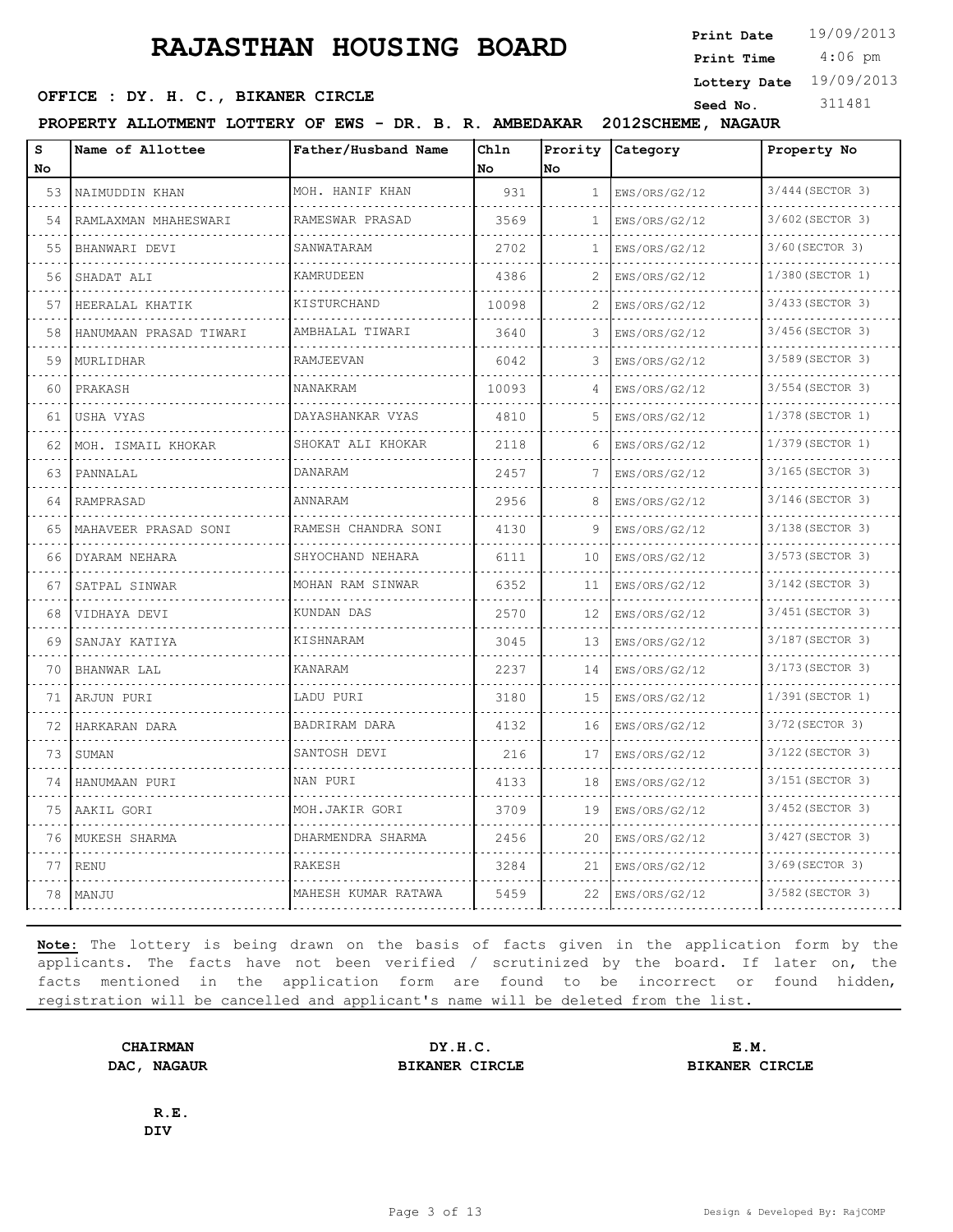**Print Date**  $19/09/2013$ **Print Time**

#### **SEED OFFICE : DY. H. C., BIKANER CIRCLE Seed No.** 311481

4:06 pm

**Lottery Date** 19/09/2013

**PROPERTY ALLOTMENT LOTTERY OF EWS - DR. B. R. AMBEDAKAR 2012SCHEME, NAGAUR**

| S<br>No | Name of Allottee       | Father/Husband Name | Chln<br>No | Prority<br>No | Category           | Property No           |
|---------|------------------------|---------------------|------------|---------------|--------------------|-----------------------|
| 53      | NAIMUDDIN KHAN<br>.    | MOH. HANIF KHAN     | 931        | 1             | EWS/ORS/G2/12<br>. | 3/444 (SECTOR 3)<br>. |
| .<br>54 | RAMLAXMAN MHAHESWARI   | RAMESWAR PRASAD     | 3569       | $\mathbf{1}$  | EWS/ORS/G2/12      | 3/602 (SECTOR 3)      |
| 55      | BHANWARI DEVI          | SANWATARAM          | 2702       | 1             | EWS/ORS/G2/12      | 3/60 (SECTOR 3)       |
| 56      | SHADAT ALI             | KAMRUDEEN           | 4386       | 2             | EWS/ORS/G2/12      | 1/380 (SECTOR 1)      |
| 57      | HEERALAL KHATIK        | KISTURCHAND         | 10098      | 2             | .<br>EWS/ORS/G2/12 | .<br>3/433 (SECTOR 3) |
| 58      | HANUMAAN PRASAD TIWARI | AMBHALAL TIWARI     | 3640       | 3             | EWS/ORS/G2/12      | 3/456 (SECTOR 3)      |
| 59      | MURLIDHAR              | RAMJEEVAN           | 6042       | 3             | EWS/ORS/G2/12      | 3/589 (SECTOR 3)      |
| 60      | PRAKASH                | NANAKRAM            | 10093      | $\Delta$      | EWS/ORS/G2/12      | 3/554 (SECTOR 3)      |
| 61      | USHA VYAS              | DAYASHANKAR VYAS    | 4810       | 5             | EWS/ORS/G2/12      | 1/378 (SECTOR 1)      |
| 62      | MOH. ISMAIL KHOKAR     | SHOKAT ALI KHOKAR   | 2118       | 6             | EWS/ORS/G2/12      | 1/379 (SECTOR 1)      |
| 63      | PANNALAL               | DANARAM             | 2457       |               | EWS/ORS/G2/12      | 3/165 (SECTOR 3)      |
| 64      | RAMPRASAD              | ANNARAM             | 2956       | 8             | EWS/ORS/G2/12      | 3/146(SECTOR 3)       |
| 65      | MAHAVEER PRASAD SONI   | RAMESH CHANDRA SONI | 4130       | 9             | EWS/ORS/G2/12      | 3/138 (SECTOR 3)      |
| 66      | DYARAM NEHARA          | SHYOCHAND NEHARA    | 6111       | 10            | EWS/ORS/G2/12      | 3/573 (SECTOR 3)      |
| 67      | SATPAL SINWAR          | MOHAN RAM SINWAR    | 6352       | 11            | EWS/ORS/G2/12      | 3/142 (SECTOR 3)      |
| 68      | VIDHAYA DEVI           | KUNDAN DAS          | 2570       | 12            | EWS/ORS/G2/12      | 3/451 (SECTOR 3)      |
| 69      | SANJAY KATIYA          | KISHNARAM           | 3045       | 13            | EWS/ORS/G2/12      | 3/187 (SECTOR 3)      |
| 70      | <b>BHANWAR LAL</b>     | KANARAM             | 2237       | 14            | EWS/ORS/G2/12      | 3/173 (SECTOR 3)      |
| 71      | ARJUN PURI             | LADU PURI           | 3180       | 15            | EWS/ORS/G2/12      | 1/391 (SECTOR 1)      |
| 72      | HARKARAN DARA          | BADRIRAM DARA       | 4132       | 16            | EWS/ORS/G2/12      | 3/72 (SECTOR 3)       |
| 73      | SUMAN                  | SANTOSH DEVI        | 216        | 17            | EWS/ORS/G2/12      | 3/122 (SECTOR 3)      |
| 74      | HANUMAAN PURI          | NAN PURI            | 4133       | 18            | EWS/ORS/G2/12      | 3/151 (SECTOR 3)      |
| 75      | AAKIL GORI             | MOH.JAKIR GORI      | 3709       | 19            | EWS/ORS/G2/12      | 3/452 (SECTOR 3)      |
| 76      | MUKESH SHARMA          | DHARMENDRA SHARMA   | 2456       | 20            | EWS/ORS/G2/12      | 3/427 (SECTOR 3)      |
| 77      | <b>RENU</b>            | RAKESH              | 3284       | 21            | EWS/ORS/G2/12      | 3/69 (SECTOR 3)       |
| 78      | MANJU                  | MAHESH KUMAR RATAWA | 5459       | 22            | EWS/ORS/G2/12      | 3/582 (SECTOR 3)      |

**Note:** The lottery is being drawn on the basis of facts given in the application form by the applicants. The facts have not been verified / scrutinized by the board. If later on, the facts mentioned in the application form are found to be incorrect or found hidden, registration will be cancelled and applicant's name will be deleted from the list.

**CHAIRMAN DY.H.C. E.M. DAC, NAGAUR BIKANER CIRCLE BIKANER CIRCLE**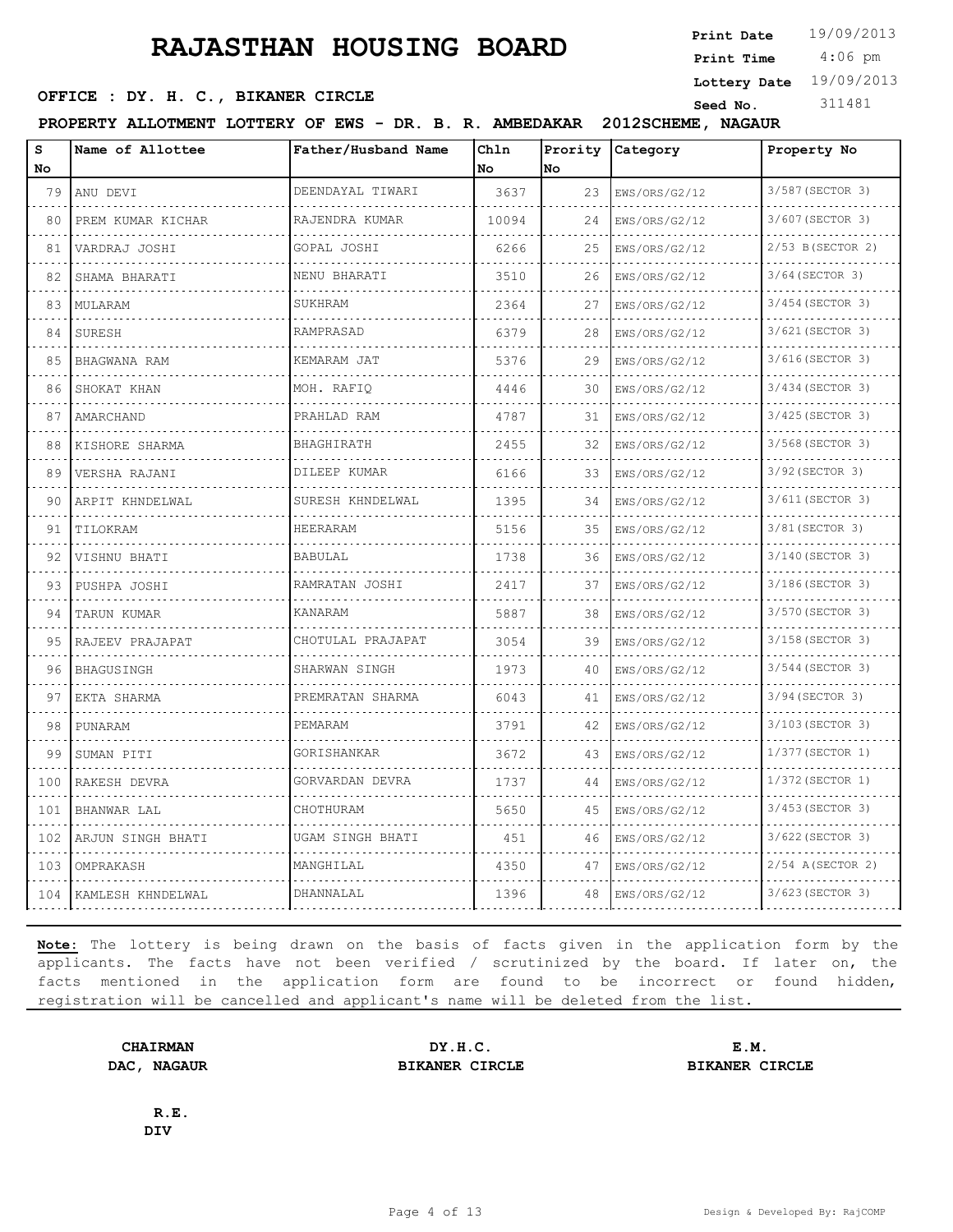4:06 pm **Print Date**  $19/09/2013$ **Print Time**

**Lottery Date** 19/09/2013

#### **SEED OFFICE : DY. H. C., BIKANER CIRCLE Seed No.** 311481

**PROPERTY ALLOTMENT LOTTERY OF EWS - DR. B. R. AMBEDAKAR 2012SCHEME, NAGAUR**

| S<br>No.                                   | Name of Allottee         | Father/Husband Name | Chln<br>No. | Prority<br>No. | Category           | Property No                       |
|--------------------------------------------|--------------------------|---------------------|-------------|----------------|--------------------|-----------------------------------|
| 79                                         | ANU DEVI                 | DEENDAYAL TIWARI    | 3637        | 23             | EWS/ORS/G2/12      | 3/587 (SECTOR 3)                  |
| 80                                         | .<br>PREM KUMAR KICHAR   | .<br>RAJENDRA KUMAR | 10094       | 24             | .<br>EWS/ORS/G2/12 | .<br>3/607 (SECTOR 3)             |
| 81                                         | VARDRAJ JOSHI            | GOPAL JOSHI         | 6266        | 25             | EWS/ORS/G2/12      | 2/53 B (SECTOR 2)                 |
| 82                                         | SHAMA BHARATI            | NENU BHARATI        | 3510        | 26             | EWS/ORS/G2/12      | 3/64 (SECTOR 3)                   |
| 83                                         | MULARAM                  | <b>SUKHRAM</b>      | 2364        | 27             | EWS/ORS/G2/12      | 3/454 (SECTOR 3)                  |
| 84                                         | SURESH                   | <b>RAMPRASAD</b>    | 6379        | 28             | EWS/ORS/G2/12      | 3/621 (SECTOR 3)                  |
| 85                                         | BHAGWANA RAM<br><u>.</u> | KEMARAM JAT<br>.    | 5376        | 29             | EWS/ORS/G2/12      | 3/616(SECTOR 3)<br>diamana a diam |
| 86                                         | SHOKAT KHAN              | MOH. RAFIO          | 4446        | 30             | .<br>EWS/ORS/G2/12 | 3/434 (SECTOR 3)                  |
| 87                                         | AMARCHAND                | PRAHLAD RAM         | 4787        | 31             | EWS/ORS/G2/12      | 3/425 (SECTOR 3)                  |
| 88                                         | KISHORE SHARMA           | BHAGHIRATH          | 2455        | 32             | EWS/ORS/G2/12      | 3/568 (SECTOR 3)                  |
| 89                                         | VERSHA RAJANI            | DILEEP KUMAR        | 6166        | 33             | EWS/ORS/G2/12      | 3/92 (SECTOR 3)                   |
| 90                                         | ARPIT KHNDELWAL          | SURESH KHNDELWAL    | 1395        | 34             | EWS/ORS/G2/12      | 3/611 (SECTOR 3)                  |
| 91                                         | TILOKRAM                 | HEERARAM            | 5156        | 35             | EWS/ORS/G2/12      | 3/81 (SECTOR 3)                   |
| 92                                         | VISHNU BHATI             | <b>BABULAL</b>      | 1738        | 36             | EWS/ORS/G2/12      | 3/140 (SECTOR 3)                  |
| 93                                         | PUSHPA JOSHI             | RAMRATAN JOSHI      | 2417        | 37             | EWS/ORS/G2/12      | 3/186(SECTOR 3)                   |
| 94                                         | TARUN KUMAR              | KANARAM             | 5887        | 38             | EWS/ORS/G2/12      | 3/570 (SECTOR 3)                  |
| 95                                         | RAJEEV PRAJAPAT          | CHOTULAL PRAJAPAT   | 3054        | 39             | EWS/ORS/G2/12      | 3/158 (SECTOR 3)                  |
| 96                                         | BHAGUSINGH               | SHARWAN SINGH       | 1973        | 40             | EWS/ORS/G2/12      | 3/544 (SECTOR 3)                  |
| 97                                         | EKTA SHARMA              | PREMRATAN SHARMA    | 6043        | 41             | EWS/ORS/G2/12      | 3/94 (SECTOR 3)                   |
| 98                                         | PUNARAM                  | PEMARAM             | 3791        | 42             | EWS/ORS/G2/12      | 3/103 (SECTOR 3)                  |
| 99                                         | SUMAN PITI               | GORISHANKAR         | 3672        | 43             | EWS/ORS/G2/12      | 1/377 (SECTOR 1)                  |
| 100                                        | RAKESH DEVRA             | GORVARDAN DEVRA     | 1737        | 44             | EWS/ORS/G2/12      | 1/372 (SECTOR 1)                  |
| $\omega = \omega - \omega - \omega$<br>101 | <b>BHANWAR LAL</b>       | CHOTHURAM           | 5650        | 45             | EWS/ORS/G2/12      | 3/453 (SECTOR 3)                  |
| 102                                        | ARJUN SINGH BHATI        | UGAM SINGH BHATI    | 451         | 46             | EWS/ORS/G2/12      | 3/622 (SECTOR 3)                  |
| 103                                        | OMPRAKASH                | MANGHILAL           | 4350        | 47             | EWS/ORS/G2/12      | 2/54 A (SECTOR 2)                 |
| 104                                        | KAMLESH KHNDELWAL        | DHANNALAL           | 1396        | 48             | EWS/ORS/G2/12      | 3/623 (SECTOR 3)                  |

**Note:** The lottery is being drawn on the basis of facts given in the application form by the applicants. The facts have not been verified / scrutinized by the board. If later on, the facts mentioned in the application form are found to be incorrect or found hidden, registration will be cancelled and applicant's name will be deleted from the list.

**CHAIRMAN DY.H.C. E.M. DAC, NAGAUR BIKANER CIRCLE BIKANER CIRCLE**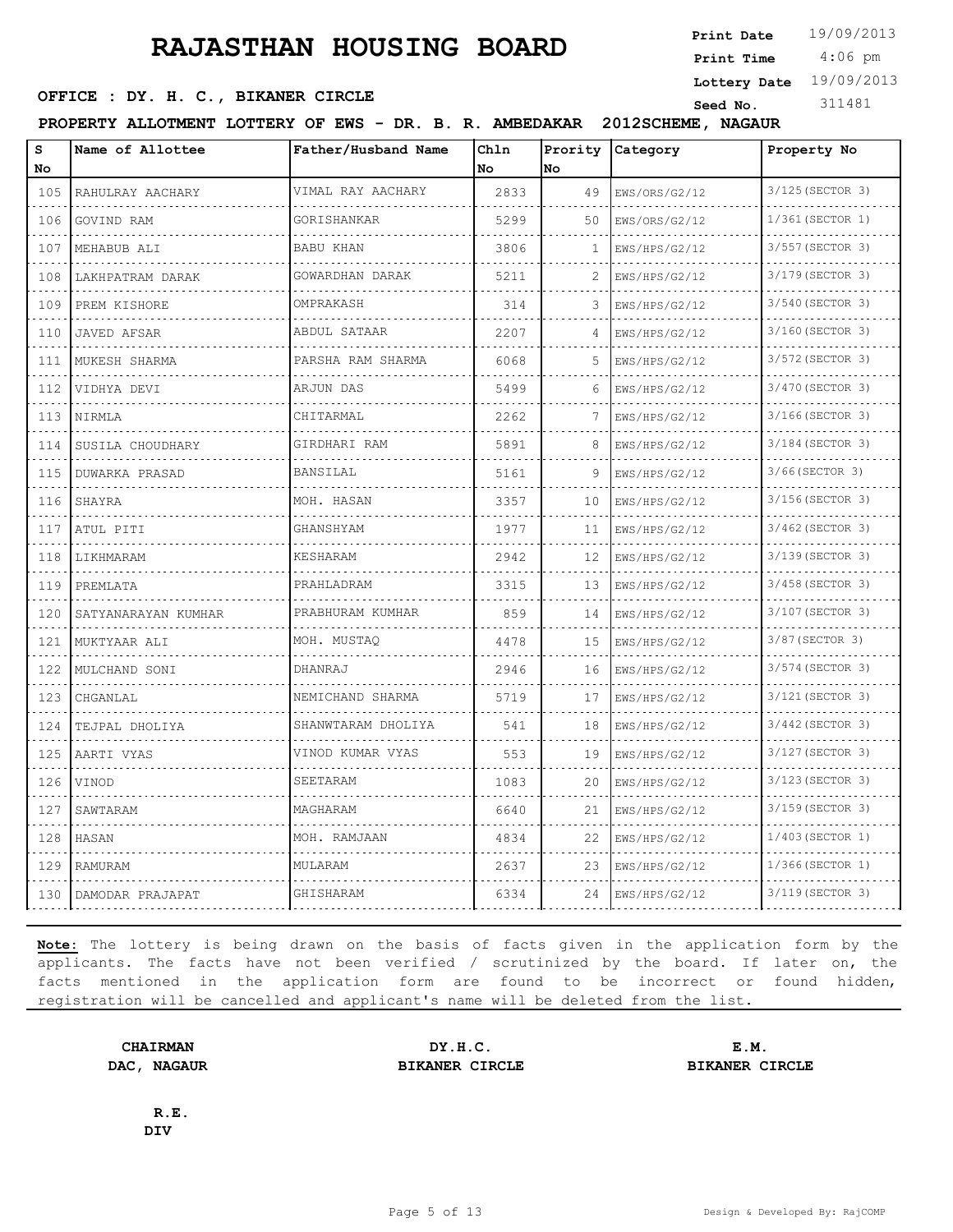4:06 pm **Print Date**  $19/09/2013$ **Print Time**

**Lottery Date** 19/09/2013

#### **SEED OFFICE : DY. H. C., BIKANER CIRCLE Seed No.** 311481

**PROPERTY ALLOTMENT LOTTERY OF EWS - DR. B. R. AMBEDAKAR 2012SCHEME, NAGAUR**

| s<br>No                     | Name of Allottee    | Father/Husband Name  | Chln<br>No | Prority<br>No | Category                                 | Property No           |
|-----------------------------|---------------------|----------------------|------------|---------------|------------------------------------------|-----------------------|
| 105                         | RAHULRAY AACHARY    | VIMAL RAY AACHARY    | 2833       | 49            | EWS/ORS/G2/12                            | 3/125 (SECTOR 3)      |
| 106                         | GOVIND RAM          | .<br>GORISHANKAR     | 5299       | 50            | EWS/ORS/G2/12                            | 1/361 (SECTOR 1)      |
| 107                         | MEHABUB ALI         | <b>BABU KHAN</b>     | 3806       | 1             | EWS/HPS/G2/12                            | 3/557 (SECTOR 3)      |
| 108                         | LAKHPATRAM DARAK    | GOWARDHAN DARAK<br>. | 5211       | 2             | EWS/HPS/G2/12<br>.                       | 3/179 (SECTOR 3)      |
| .<br>109                    | PREM KISHORE        | OMPRAKASH            | 314        | 3             | EWS/HPS/G2/12                            | 3/540 (SECTOR 3)      |
| 110                         | JAVED AFSAR         | ABDUL SATAAR         | 2207       | 4             | EWS/HPS/G2/12                            | 3/160 (SECTOR 3)      |
| 111<br>.                    | MUKESH SHARMA       | PARSHA RAM SHARMA    | 6068       | 5             | EWS/HPS/G2/12                            | 3/572 (SECTOR 3)      |
| 112                         | VIDHYA DEVI         | ARJUN DAS            | 5499       | 6             | EWS/HPS/G2/12                            | 3/470 (SECTOR 3)      |
| 113                         | NIRMLA              | CHITARMAL            | 2262       | 7             | EWS/HPS/G2/12                            | 3/166(SECTOR 3)       |
| 114<br>.                    | SUSILA CHOUDHARY    | GIRDHARI RAM         | 5891       | 8             | EWS/HPS/G2/12                            | 3/184 (SECTOR 3)<br>. |
| 115                         | DUWARKA PRASAD      | BANSILAL             | 5161       | 9             | EWS/HPS/G2/12                            | 3/66(SECTOR 3)        |
| 116<br>.                    | SHAYRA<br>.         | MOH. HASAN           | 3357       | 10            | EWS/HPS/G2/12                            | 3/156 (SECTOR 3)<br>. |
| 117<br>.                    | ATUL PITI           | GHANSHYAM            | 1977       | 11            | EWS/HPS/G2/12<br>and a strategic control | 3/462 (SECTOR 3)      |
| 118                         | LIKHMARAM           | <b>KESHARAM</b>      | 2942       | 12            | EWS/HPS/G2/12                            | 3/139 (SECTOR 3)      |
| 119                         | PREMLATA            | PRAHLADRAM           | 3315       | 13            | EWS/HPS/G2/12                            | 3/458 (SECTOR 3)<br>. |
| 120                         | SATYANARAYAN KUMHAR | PRABHURAM KUMHAR     | 859        | 14            | EWS/HPS/G2/12                            | 3/107 (SECTOR 3)      |
| 121<br>.                    | MUKTYAAR ALI        | MOH. MUSTAO          | 4478       | 15            | EWS/HPS/G2/12                            | 3/87 (SECTOR 3)       |
| 122<br>$\sim$ $\sim$ $\sim$ | MULCHAND SONI       | DHANRAJ              | 2946       | 16            | EWS/HPS/G2/12                            | 3/574 (SECTOR 3)      |
| 123                         | CHGANLAL            | NEMICHAND SHARMA     | 5719       | 17            | EWS/HPS/G2/12                            | 3/121 (SECTOR 3)      |
| 124<br>.                    | TEJPAL DHOLIYA      | SHANWTARAM DHOLIYA   | 541        | 18            | EWS/HPS/G2/12                            | 3/442 (SECTOR 3)      |
| 125<br>.                    | AARTI VYAS          | VINOD KUMAR VYAS     | 553        | 19            | EWS/HPS/G2/12                            | 3/127 (SECTOR 3)      |
| 126                         | VINOD               | SEETARAM             | 1083       | 20            | EWS/HPS/G2/12                            | 3/123 (SECTOR 3)      |
| 127<br>.                    | SAWTARAM            | MAGHARAM             | 6640       | 21            | EWS/HPS/G2/12                            | 3/159 (SECTOR 3)      |
| 128<br>.                    | HASAN               | MOH. RAMJAAN         | 4834       | 22            | EWS/HPS/G2/12                            | 1/403(SECTOR 1)       |
| 129                         | <b>RAMURAM</b>      | MULARAM              | 2637       | 23            | EWS/HPS/G2/12                            | 1/366(SECTOR 1)       |
| 130                         | DAMODAR PRAJAPAT    | GHISHARAM            | 6334       | 24            | EWS/HPS/G2/12                            | 3/119 (SECTOR 3)      |

**Note:** The lottery is being drawn on the basis of facts given in the application form by the applicants. The facts have not been verified / scrutinized by the board. If later on, the facts mentioned in the application form are found to be incorrect or found hidden, registration will be cancelled and applicant's name will be deleted from the list.

**CHAIRMAN DY.H.C. E.M. DAC, NAGAUR BIKANER CIRCLE BIKANER CIRCLE**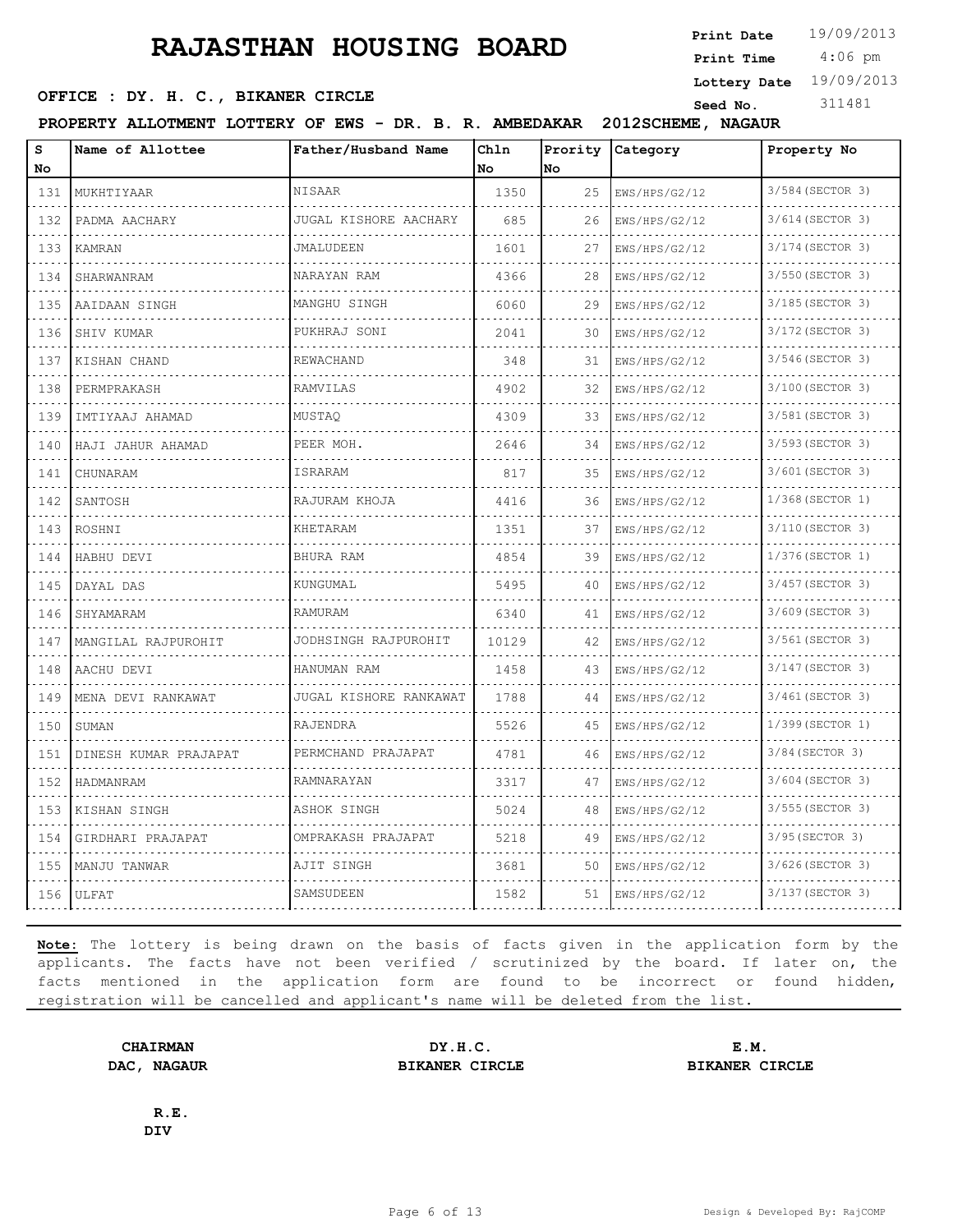4:06 pm **Print Date**  $19/09/2013$ **Print Time**

**Lottery Date** 19/09/2013

#### **SEED OFFICE : DY. H. C., BIKANER CIRCLE Seed No.** 311481

**PROPERTY ALLOTMENT LOTTERY OF EWS - DR. B. R. AMBEDAKAR 2012SCHEME, NAGAUR**

| S<br>No                            | Name of Allottee      | Father/Husband Name    | Chln<br>No | Prority<br>No | Category           | Property No           |
|------------------------------------|-----------------------|------------------------|------------|---------------|--------------------|-----------------------|
| 131                                | MUKHTIYAAR            | NISAAR                 | 1350       | 25            | EWS/HPS/G2/12      | 3/584 (SECTOR 3)      |
| $\sim$ $\sim$ $\sim$ $\sim$<br>132 | .<br>PADMA AACHARY    | JUGAL KISHORE AACHARY  | 685        | 26            | .<br>EWS/HPS/G2/12 | .<br>3/614 (SECTOR 3) |
| 133                                | KAMRAN                | JMALUDEEN              | 1601       | 27            | EWS/HPS/G2/12      | 3/174 (SECTOR 3)      |
| .<br>134                           | SHARWANRAM            | NARAYAN RAM            | 4366       | 28            | EWS/HPS/G2/12      | 3/550 (SECTOR 3)      |
| .<br>135                           | AAIDAAN SINGH         | MANGHU SINGH           | 6060       | 29            | EWS/HPS/G2/12      | 3/185 (SECTOR 3)      |
| 136                                | SHIV KUMAR            | PUKHRAJ SONI           | 2041       | 30            | EWS/HPS/G2/12      | 3/172 (SECTOR 3)      |
| 137                                | KISHAN CHAND          | REWACHAND              | 348        | 31            | EWS/HPS/G2/12      | 3/546 (SECTOR 3)      |
| .<br>138                           | PERMPRAKASH           | RAMVILAS               | 4902       | 32            | EWS/HPS/G2/12      | 3/100 (SECTOR 3)      |
| 139                                | IMTIYAAJ AHAMAD       | MUSTAO                 | 4309       | 33            | EWS/HPS/G2/12      | 3/581 (SECTOR 3)      |
| .<br>140                           | HAJI JAHUR AHAMAD     | PEER MOH.              | 2646       | 34            | EWS/HPS/G2/12      | 3/593 (SECTOR 3)<br>. |
| .<br>141                           | CHUNARAM              | ISRARAM                | 817        | 35            | .<br>EWS/HPS/G2/12 | 3/601 (SECTOR 3)      |
| 142                                | SANTOSH               | RAJURAM KHOJA          | 4416       | 36            | EWS/HPS/G2/12      | 1/368 (SECTOR 1)      |
| .<br>143                           | ROSHNI                | KHETARAM               | 1351       | 37            | EWS/HPS/G2/12      | 3/110 (SECTOR 3)      |
| .<br>144                           | HABHU DEVI            | BHURA RAM              | 4854       | 39            | EWS/HPS/G2/12      | 1/376(SECTOR 1)       |
| 145                                | DAYAL DAS             | KUNGUMAL               | 5495       | 40            | EWS/HPS/G2/12      | 3/457 (SECTOR 3)      |
| 146                                | SHYAMARAM             | RAMURAM                | 6340       | 41            | EWS/HPS/G2/12      | 3/609 (SECTOR 3)      |
| .<br>147                           | MANGILAL RAJPUROHIT   | JODHSINGH RAJPUROHIT   | 10129      | 42            | EWS/HPS/G2/12      | 3/561 (SECTOR 3)      |
| 148                                | AACHU DEVI            | HANUMAN RAM            | 1458       | 43            | EWS/HPS/G2/12      | 3/147 (SECTOR 3)      |
| 149                                | MENA DEVI RANKAWAT    | JUGAL KISHORE RANKAWAT | 1788       | 44            | EWS/HPS/G2/12      | 3/461 (SECTOR 3)      |
| 150                                | SUMAN                 | RAJENDRA               | 5526       | 45            | EWS/HPS/G2/12      | 1/399 (SECTOR 1)      |
| $   -$<br>151                      | DINESH KUMAR PRAJAPAT | PERMCHAND PRAJAPAT     | 4781       | 46            | EWS/HPS/G2/12      | 3/84 (SECTOR 3)       |
| 152                                | HADMANRAM             | RAMNARAYAN             | 3317       | 47            | EWS/HPS/G2/12      | 3/604 (SECTOR 3)      |
| 153                                | KISHAN SINGH          | ASHOK SINGH            | 5024       | 48            | EWS/HPS/G2/12      | 3/555 (SECTOR 3)      |
| $\sim$ $\sim$ $\sim$ $\sim$<br>154 | GIRDHARI PRAJAPAT     | OMPRAKASH PRAJAPAT     | 5218       | 49            | EWS/HPS/G2/12      | 3/95 (SECTOR 3)       |
| .<br>155                           | MANJU TANWAR          | AJIT SINGH             | 3681       | 50            | EWS/HPS/G2/12      | 3/626 (SECTOR 3)      |
| 156                                | ULFAT                 | SAMSUDEEN              | 1582       | 51            | EWS/HPS/G2/12      | 3/137 (SECTOR 3)      |

**Note:** The lottery is being drawn on the basis of facts given in the application form by the applicants. The facts have not been verified / scrutinized by the board. If later on, the facts mentioned in the application form are found to be incorrect or found hidden, registration will be cancelled and applicant's name will be deleted from the list.

**CHAIRMAN DY.H.C. E.M. DAC, NAGAUR BIKANER CIRCLE BIKANER CIRCLE**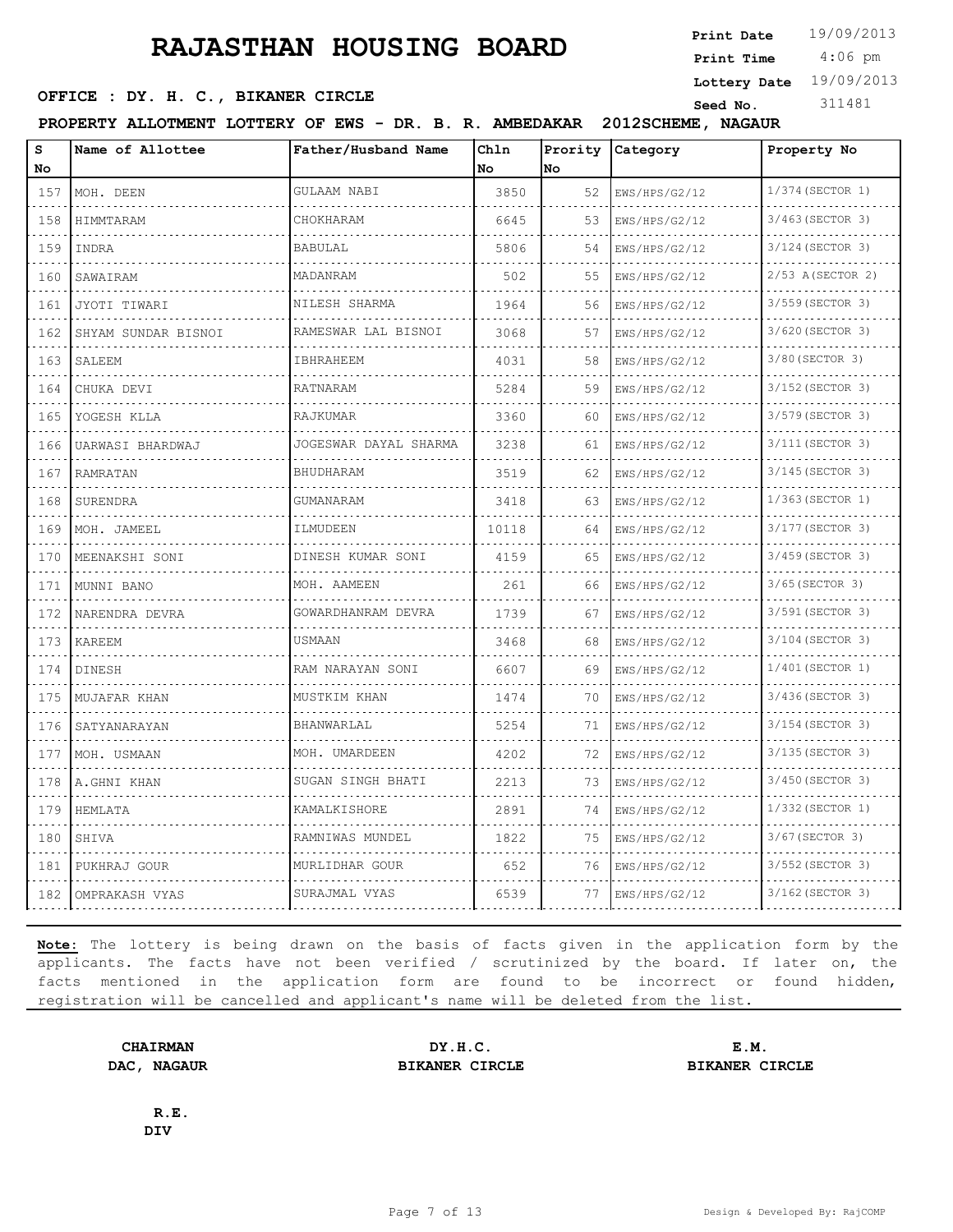4:06 pm **Print Date**  $19/09/2013$ **Print Time**

**Lottery Date** 19/09/2013

#### **SEED OFFICE : DY. H. C., BIKANER CIRCLE Seed No.** 311481

**PROPERTY ALLOTMENT LOTTERY OF EWS - DR. B. R. AMBEDAKAR 2012SCHEME, NAGAUR**

| s<br>No                     | Name of Allottee    | Father/Husband Name   | Ch1n<br>No | Prority<br>lno. | Category           | Property No           |
|-----------------------------|---------------------|-----------------------|------------|-----------------|--------------------|-----------------------|
| 157                         | MOH. DEEN           | GULAAM NABI           | 3850       | 52              | EWS/HPS/G2/12      | 1/374 (SECTOR 1)      |
| $\sim$ $\sim$ $\sim$<br>158 | HIMMTARAM           | CHOKHARAM             | 6645       | 53              | EWS/HPS/G2/12      | 3/463 (SECTOR 3)      |
| 159                         | INDRA               | <b>BABULAL</b>        | 5806       | 54              | EWS/HPS/G2/12      | 3/124 (SECTOR 3)      |
| 160                         | SAWAIRAM            | MADANRAM              | 502        | 55              | EWS/HPS/G2/12      | 2/53 A(SECTOR 2)      |
| 161                         | JYOTI TIWARI        | NILESH SHARMA         | 1964       | 56              | .<br>EWS/HPS/G2/12 | .<br>3/559 (SECTOR 3) |
| 162                         | SHYAM SUNDAR BISNOI | RAMESWAR LAL BISNOI   | 3068       | 57              | EWS/HPS/G2/12      | 3/620 (SECTOR 3)      |
| 163                         | SALEEM<br>.         | IBHRAHEEM             | 4031       | 58              | EWS/HPS/G2/12      | 3/80 (SECTOR 3)<br>.  |
| 164                         | CHUKA DEVI          | RATNARAM              | 5284       | 59              | EWS/HPS/G2/12      | 3/152 (SECTOR 3)      |
| 165                         | YOGESH KLLA         | <b>RAJKUMAR</b>       | 3360       | 60              | EWS/HPS/G2/12      | 3/579 (SECTOR 3)      |
| 166                         | UARWASI BHARDWAJ    | JOGESWAR DAYAL SHARMA | 3238       | 61              | EWS/HPS/G2/12      | 3/111 (SECTOR 3)      |
| 167                         | <b>RAMRATAN</b>     | BHUDHARAM             | 3519       | 62              | .<br>EWS/HPS/G2/12 | 3/145 (SECTOR 3)      |
| 168                         | SURENDRA            | <b>GUMANARAM</b>      | 3418       | 63              | EWS/HPS/G2/12      | 1/363 (SECTOR 1)      |
| 169                         | MOH. JAMEEL         | ILMUDEEN              | 10118      | 64              | EWS/HPS/G2/12      | 3/177 (SECTOR 3)      |
| 170                         | MEENAKSHI SONI      | DINESH KUMAR SONI     | 4159       | 65              | EWS/HPS/G2/12      | .<br>3/459 (SECTOR 3) |
| 171                         | MUNNI BANO          | MOH. AAMEEN           | 261        | 66              | EWS/HPS/G2/12      | 3/65(SECTOR 3)        |
| 172                         | NARENDRA DEVRA      | GOWARDHANRAM DEVRA    | 1739       | 67              | EWS/HPS/G2/12      | 3/591 (SECTOR 3)      |
| 173                         | <b>KAREEM</b>       | <b>USMAAN</b>         | 3468       | 68              | EWS/HPS/G2/12      | 3/104 (SECTOR 3)      |
| 174                         | DINESH              | RAM NARAYAN SONI      | 6607       | 69              | EWS/HPS/G2/12      | 1/401 (SECTOR 1)      |
| 175                         | MUJAFAR KHAN        | MUSTKIM KHAN          | 1474       | 70              | EWS/HPS/G2/12      | 3/436 (SECTOR 3)      |
| 176                         | SATYANARAYAN        | BHANWARLAL            | 5254       | 71              | EWS/HPS/G2/12      | 3/154 (SECTOR 3)      |
| 177                         | MOH. USMAAN         | MOH. UMARDEEN         | 4202       | 72              | EWS/HPS/G2/12      | 3/135 (SECTOR 3)      |
| 178                         | .<br>A.GHNI KHAN    | SUGAN SINGH BHATI     | 2213       | 73              | EWS/HPS/G2/12      | 3/450 (SECTOR 3)      |
| 179                         | HEMLATA             | <b>KAMALKISHORE</b>   | 2891       | 74              | EWS/HPS/G2/12      | 1/332 (SECTOR 1)      |
| 180                         | SHIVA               | RAMNIWAS MUNDEL       | 1822       | 75              | EWS/HPS/G2/12      | 3/67(SECTOR 3)        |
| 181                         | PUKHRAJ GOUR        | MURLIDHAR GOUR        | 652        | 76              | EWS/HPS/G2/12      | 3/552 (SECTOR 3)      |
|                             | 182 OMPRAKASH VYAS  | SURAJMAL VYAS         | 6539       | 77              | EWS/HPS/G2/12      | 3/162 (SECTOR 3)      |

**Note:** The lottery is being drawn on the basis of facts given in the application form by the applicants. The facts have not been verified / scrutinized by the board. If later on, the facts mentioned in the application form are found to be incorrect or found hidden, registration will be cancelled and applicant's name will be deleted from the list.

**CHAIRMAN DY.H.C. E.M. DAC, NAGAUR BIKANER CIRCLE BIKANER CIRCLE**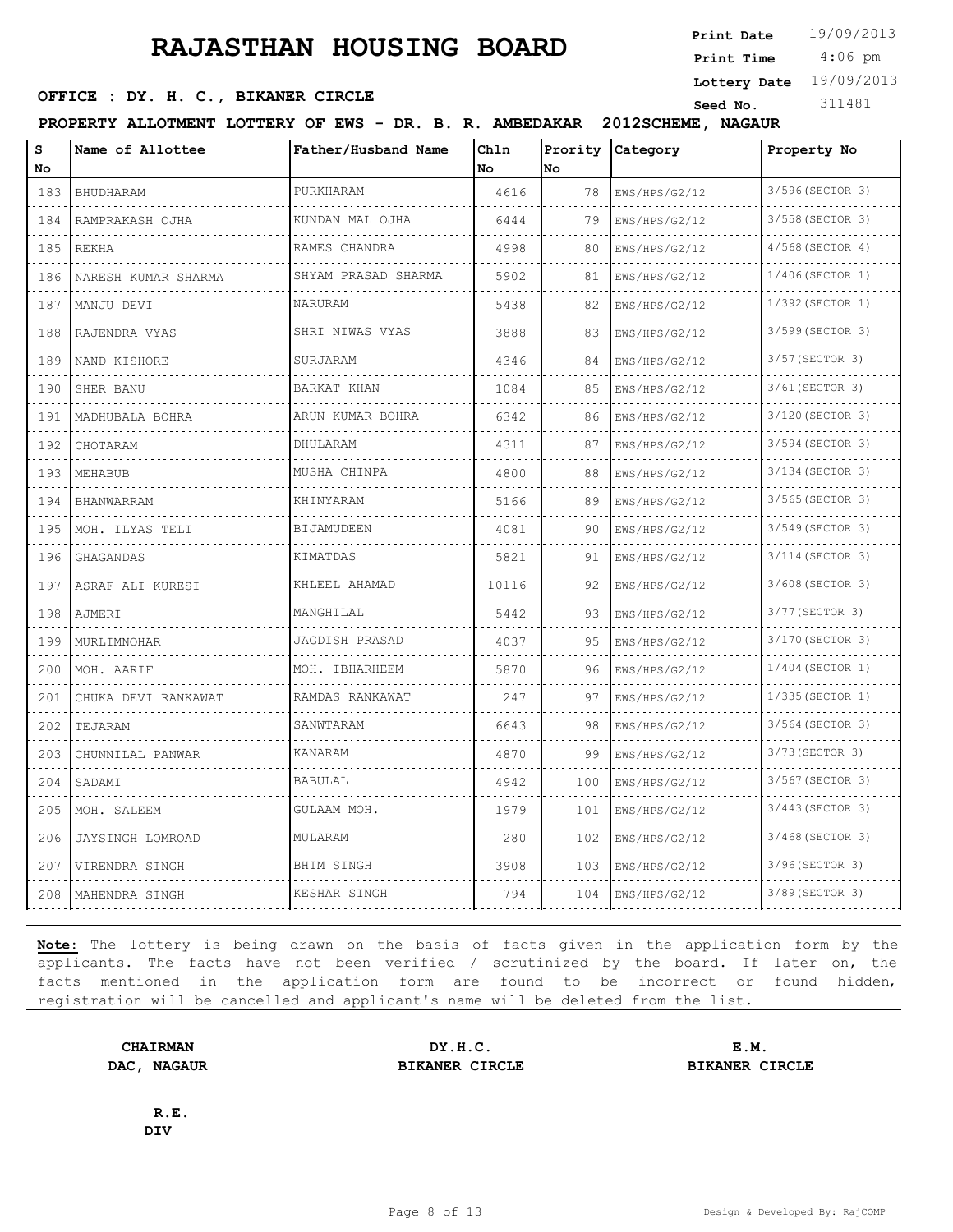4:06 pm **Print Date**  $19/09/2013$ **Print Time**

**Lottery Date** 19/09/2013

#### **SEED OFFICE : DY. H. C., BIKANER CIRCLE Seed No.** 311481

**PROPERTY ALLOTMENT LOTTERY OF EWS - DR. B. R. AMBEDAKAR 2012SCHEME, NAGAUR**

| s<br>No | Name of Allottee     | Father/Husband Name | Ch1n<br>No | Prority<br>No | Category      | Property No        |
|---------|----------------------|---------------------|------------|---------------|---------------|--------------------|
| 183     | BHUDHARAM            | PURKHARAM           | 4616       | 78            | EWS/HPS/G2/12 | 3/596 (SECTOR 3)   |
| 184     | .<br>RAMPRAKASH OJHA | KUNDAN MAL OJHA     | 6444       | 79            | EWS/HPS/G2/12 | 3/558 (SECTOR 3)   |
| 185     | <b>REKHA</b>         | RAMES CHANDRA       | 4998       | 80            | EWS/HPS/G2/12 | 4/568 (SECTOR 4)   |
| 186     | NARESH KUMAR SHARMA  | SHYAM PRASAD SHARMA | 5902       | 81            | EWS/HPS/G2/12 | 1/406(SECTOR 1)    |
| 187     | MANJU DEVI           | NARURAM             | 5438       | 82            | EWS/HPS/G2/12 | 1/392(SECTOR 1)    |
| 188     | RAJENDRA VYAS        | SHRI NIWAS VYAS     | 3888       | 83            | EWS/HPS/G2/12 | 3/599 (SECTOR 3)   |
| 189     | NAND KISHORE         | SURJARAM            | 4346       | 84            | EWS/HPS/G2/12 | 3/57 (SECTOR 3)    |
| 190     | SHER BANU            | BARKAT KHAN         | 1084       | 85            | EWS/HPS/G2/12 | 3/61 (SECTOR 3)    |
| 191     | MADHUBALA BOHRA      | ARUN KUMAR BOHRA    | 6342       | 86            | EWS/HPS/G2/12 | 3/120 (SECTOR 3)   |
| 192     | CHOTARAM             | DHULARAM            | 4311       | 87            | EWS/HPS/G2/12 | 3/594 (SECTOR 3)   |
| 193     | MEHABUB              | MUSHA CHINPA        | 4800       | 88            | EWS/HPS/G2/12 | 3/134 (SECTOR 3)   |
| 194     | <b>BHANWARRAM</b>    | KHINYARAM           | 5166       | 89            | EWS/HPS/G2/12 | 3/565 (SECTOR 3)   |
| 195     | MOH. ILYAS TELI      | <b>BIJAMUDEEN</b>   | 4081       | 90            | EWS/HPS/G2/12 | 3/549 (SECTOR 3)   |
| 196     | GHAGANDAS            | KIMATDAS            | 5821       | 91            | EWS/HPS/G2/12 | 3/114 (SECTOR 3)   |
| 197     | ASRAF ALI KURESI     | KHLEEL AHAMAD       | 10116      | 92            | EWS/HPS/G2/12 | 3/608 (SECTOR 3)   |
| 198     | AJMERI               | MANGHILAL           | 5442       | 93            | EWS/HPS/G2/12 | 3/77 (SECTOR 3)    |
| 199     | MURLIMNOHAR          | JAGDISH PRASAD      | 4037       | 95            | EWS/HPS/G2/12 | 3/170 (SECTOR 3)   |
| 200     | MOH. AARIF           | MOH. IBHARHEEM      | 5870       | 96            | EWS/HPS/G2/12 | $1/404$ (SECTOR 1) |
| 201     | CHUKA DEVI RANKAWAT  | RAMDAS RANKAWAT     | 247        | 97            | EWS/HPS/G2/12 | 1/335 (SECTOR 1)   |
| 202     | TEJARAM              | SANWTARAM           | 6643       | 98            | EWS/HPS/G2/12 | 3/564 (SECTOR 3)   |
| 203     | CHUNNILAL PANWAR     | <b>KANARAM</b>      | 4870       | 99            | EWS/HPS/G2/12 | 3/73 (SECTOR 3)    |
| 204     | SADAMI               | <b>BABULAL</b>      | 4942       | 100           | EWS/HPS/G2/12 | 3/567 (SECTOR 3)   |
| 205     | MOH. SALEEM          | GULAAM MOH.         | 1979       | 101           | EWS/HPS/G2/12 | 3/443 (SECTOR 3)   |
| 206     | JAYSINGH LOMROAD     | MULARAM             | 280        | 102           | EWS/HPS/G2/12 | 3/468 (SECTOR 3)   |
| 207     | VIRENDRA SINGH       | <b>BHIM SINGH</b>   | 3908       | 103           | EWS/HPS/G2/12 | 3/96(SECTOR 3)     |
| 208     | MAHENDRA SINGH       | KESHAR SINGH        | 794        | 104           | EWS/HPS/G2/12 | 3/89 (SECTOR 3)    |

**Note:** The lottery is being drawn on the basis of facts given in the application form by the applicants. The facts have not been verified / scrutinized by the board. If later on, the facts mentioned in the application form are found to be incorrect or found hidden, registration will be cancelled and applicant's name will be deleted from the list.

**CHAIRMAN DY.H.C. E.M. DAC, NAGAUR BIKANER CIRCLE BIKANER CIRCLE**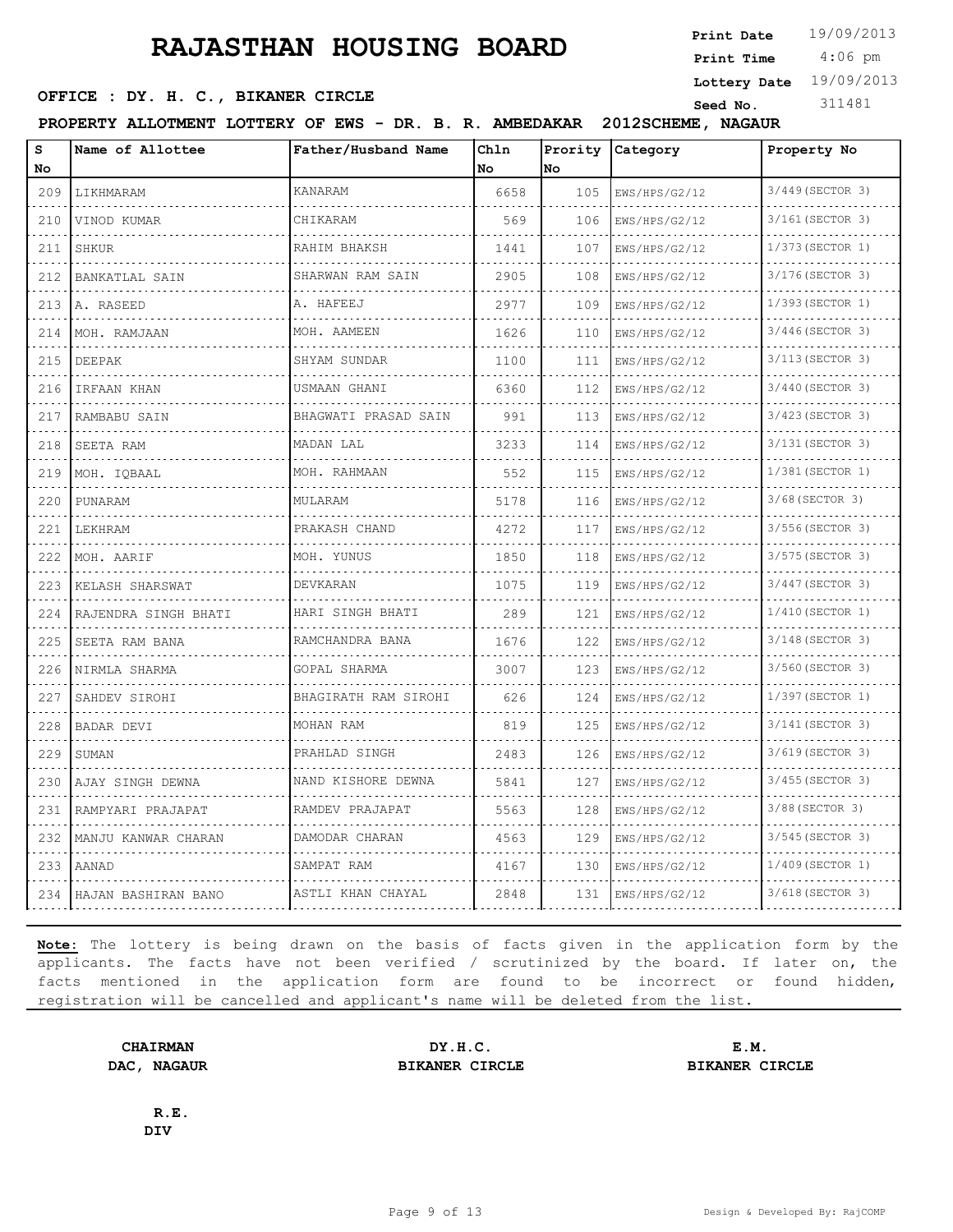4:06 pm **Print Date**  $19/09/2013$ **Print Time**

**Lottery Date** 19/09/2013

#### **SEED OFFICE : DY. H. C., BIKANER CIRCLE** Seed No. 311481

**PROPERTY ALLOTMENT LOTTERY OF EWS - DR. B. R. AMBEDAKAR 2012SCHEME, NAGAUR**

| s                           | Name of Allottee                  | Father/Husband Name   | Chln | Prority |                    | Property No           |
|-----------------------------|-----------------------------------|-----------------------|------|---------|--------------------|-----------------------|
| No                          |                                   |                       | No   | lNo.    | Category           |                       |
| 209                         | LIKHMARAM                         | KANARAM               | 6658 | 105     | EWS/HPS/G2/12      | 3/449 (SECTOR 3)      |
| 210                         | dia dia dia dia di<br>VINOD KUMAR | CHIKARAM              | 569  | 106     | .<br>EWS/HPS/G2/12 | .<br>3/161 (SECTOR 3) |
| 211                         | SHKUR                             | RAHIM BHAKSH          | 1441 | 107     | EWS/HPS/G2/12      | 1/373 (SECTOR 1)      |
| 212                         | BANKATLAL SAIN                    | SHARWAN RAM SAIN      | 2905 | 108     | EWS/HPS/G2/12      | 3/176 (SECTOR 3)      |
| 213                         | A. RASEED                         | A. HAFEEJ             | 2977 | 109     | EWS/HPS/G2/12      | 1/393 (SECTOR 1)      |
| 214                         | MOH. RAMJAAN                      | MOH. AAMEEN           | 1626 | 110     | EWS/HPS/G2/12      | 3/446(SECTOR 3)       |
| 215                         | DEEPAK                            | SHYAM SUNDAR          | 1100 | 111     | EWS/HPS/G2/12      | .<br>3/113 (SECTOR 3) |
| 216                         | IRFAAN KHAN                       | USMAAN GHANI          | 6360 | 112     | EWS/HPS/G2/12      | 3/440 (SECTOR 3)      |
| 217                         | RAMBABU SAIN                      | BHAGWATI PRASAD SAIN  | 991  | 113     | EWS/HPS/G2/12      | 3/423 (SECTOR 3)      |
| 218                         | SEETA RAM                         | MADAN LAL             | 3233 | 114     | EWS/HPS/G2/12      | 3/131 (SECTOR 3)      |
| 219                         | MOH. IOBAAL                       | MOH. RAHMAAN          | 552  | 115     | EWS/HPS/G2/12      | 1/381 (SECTOR 1)      |
| 220                         | PUNARAM                           | MULARAM               | 5178 | 116     | EWS/HPS/G2/12      | 3/68 (SECTOR 3)       |
| 221                         | LEKHRAM                           | PRAKASH CHAND         | 4272 | 117     | EWS/HPS/G2/12      | 3/556 (SECTOR 3)      |
| 222                         | MOH. AARIF                        | MOH. YUNUS            | 1850 | 118     | EWS/HPS/G2/12      | 3/575 (SECTOR 3)      |
| 223                         | KELASH SHARSWAT<br>.              | DEVKARAN              | 1075 | 119     | EWS/HPS/G2/12<br>. | 3/447 (SECTOR 3)<br>. |
| 224                         | RAJENDRA SINGH BHATI<br>.         | HARI SINGH BHATI<br>. | 289  | 121     | EWS/HPS/G2/12      | 1/410 (SECTOR 1)      |
| 225                         | SEETA RAM BANA                    | RAMCHANDRA BANA       | 1676 | 122     | EWS/HPS/G2/12      | 3/148 (SECTOR 3)      |
| 226<br>$\sim$ $\sim$ $\sim$ | NIRMLA SHARMA                     | GOPAL SHARMA          | 3007 | 123     | EWS/HPS/G2/12      | 3/560 (SECTOR 3)      |
| 227                         | SAHDEV SIROHI                     | BHAGIRATH RAM SIROHI  | 626  | 124     | EWS/HPS/G2/12      | 1/397 (SECTOR 1)      |
| 228                         | BADAR DEVI                        | MOHAN RAM             | 819  | 125     | EWS/HPS/G2/12      | 3/141 (SECTOR 3)      |
| 229                         | SUMAN                             | PRAHLAD SINGH         | 2483 | 126     | EWS/HPS/G2/12      | 3/619 (SECTOR 3)      |
| 230                         | AJAY SINGH DEWNA                  | NAND KISHORE DEWNA    | 5841 | 127     | EWS/HPS/G2/12      | 3/455 (SECTOR 3)      |
| 231                         | RAMPYARI PRAJAPAT                 | RAMDEV PRAJAPAT<br>.  | 5563 | 128     | EWS/HPS/G2/12      | 3/88 (SECTOR 3)       |
| 232                         | MANJU KANWAR CHARAN               | DAMODAR CHARAN        | 4563 | 129     | EWS/HPS/G2/12      | 3/545 (SECTOR 3)      |
| 233                         | <b>AANAD</b>                      | SAMPAT RAM            | 4167 | 130     | EWS/HPS/G2/12      | 1/409 (SECTOR 1)      |
|                             | 234   HAJAN BASHIRAN BANO         | ASTLI KHAN CHAYAL     | 2848 | 131     | EWS/HPS/G2/12      | 3/618 (SECTOR 3)      |
|                             |                                   | .                     |      |         | .                  |                       |

**Note:** The lottery is being drawn on the basis of facts given in the application form by the applicants. The facts have not been verified / scrutinized by the board. If later on, the facts mentioned in the application form are found to be incorrect or found hidden, registration will be cancelled and applicant's name will be deleted from the list.

**CHAIRMAN DY.H.C. E.M. DAC, NAGAUR BIKANER CIRCLE BIKANER CIRCLE**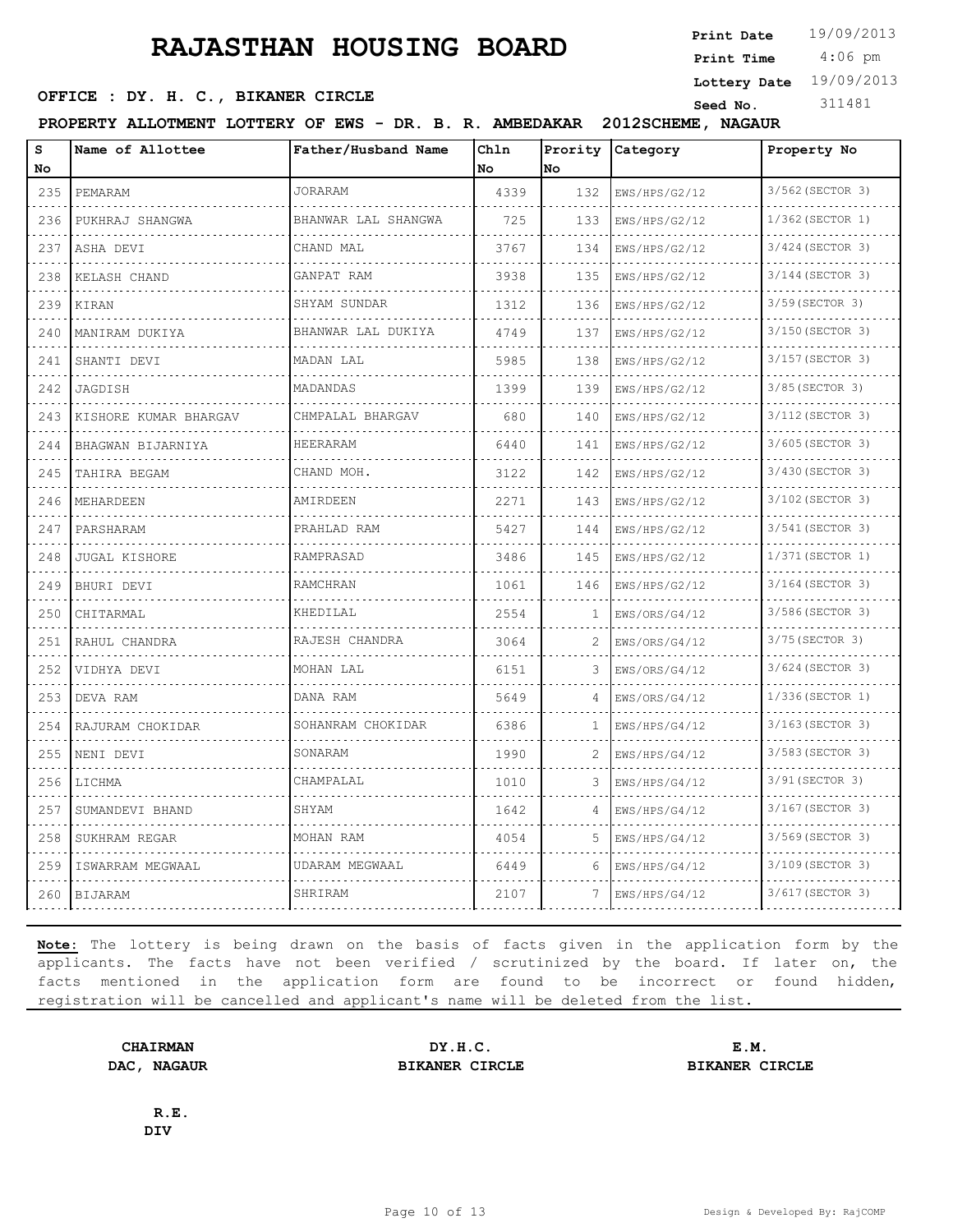4:06 pm **Print Date**  $19/09/2013$ **Print Time**

**Lottery Date** 19/09/2013

#### **SEED OFFICE : DY. H. C., BIKANER CIRCLE Seed No.** 311481

**PROPERTY ALLOTMENT LOTTERY OF EWS - DR. B. R. AMBEDAKAR 2012SCHEME, NAGAUR**

| S                                                                                                                                | Name of Allottee      | Father/Husband Name | Chln | Prority      | Category      | Property No      |
|----------------------------------------------------------------------------------------------------------------------------------|-----------------------|---------------------|------|--------------|---------------|------------------|
| No                                                                                                                               |                       |                     | No   | No           |               |                  |
| 235                                                                                                                              | PEMARAM               | <b>JORARAM</b>      | 4339 | 132          | EWS/HPS/G2/12 | 3/562 (SECTOR 3) |
| 236                                                                                                                              | PUKHRAJ SHANGWA       | BHANWAR LAL SHANGWA | 725  | 133          | EWS/HPS/G2/12 | 1/362 (SECTOR 1) |
| 237                                                                                                                              | ASHA DEVI             | CHAND MAL           | 3767 | 134          | EWS/HPS/G2/12 | 3/424 (SECTOR 3) |
| 238                                                                                                                              | KELASH CHAND          | GANPAT RAM          | 3938 | 135          | EWS/HPS/G2/12 | 3/144 (SECTOR 3) |
| 239                                                                                                                              | KIRAN                 | SHYAM SUNDAR        | 1312 | 136          | EWS/HPS/G2/12 | 3/59 (SECTOR 3)  |
| 240<br>$\frac{1}{2}$                                                                                                             | MANIRAM DUKIYA        | BHANWAR LAL DUKIYA  | 4749 | 137          | EWS/HPS/G2/12 | 3/150 (SECTOR 3) |
| 241                                                                                                                              | SHANTI DEVI           | MADAN LAL           | 5985 | 138          | EWS/HPS/G2/12 | 3/157 (SECTOR 3) |
| 242                                                                                                                              | JAGDISH               | MADANDAS            | 1399 | 139          | EWS/HPS/G2/12 | 3/85 (SECTOR 3)  |
| 243                                                                                                                              | KISHORE KUMAR BHARGAV | CHMPALAL BHARGAV    | 680  | 140          | EWS/HPS/G2/12 | 3/112 (SECTOR 3) |
| 244<br>$\sim$ $\sim$ $\sim$                                                                                                      | BHAGWAN BIJARNIYA     | HEERARAM            | 6440 | 141          | EWS/HPS/G2/12 | 3/605 (SECTOR 3) |
| 245                                                                                                                              | TAHIRA BEGAM          | CHAND MOH.          | 3122 | 142          | EWS/HPS/G2/12 | 3/430 (SECTOR 3) |
| 246                                                                                                                              | MEHARDEEN             | AMIRDEEN            | 2271 | 143          | EWS/HPS/G2/12 | 3/102 (SECTOR 3) |
| 247                                                                                                                              | PARSHARAM             | PRAHLAD RAM         | 5427 | 144          | EWS/HPS/G2/12 | 3/541 (SECTOR 3) |
| $\frac{1}{2} \left( \frac{1}{2} \right) \left( \frac{1}{2} \right) \left( \frac{1}{2} \right) \left( \frac{1}{2} \right)$<br>248 | <b>JUGAL KISHORE</b>  | RAMPRASAD           | 3486 | 145          | EWS/HPS/G2/12 | 1/371 (SECTOR 1) |
| 249                                                                                                                              | BHURI DEVI            | RAMCHRAN            | 1061 | 146          | EWS/HPS/G2/12 | 3/164 (SECTOR 3) |
| 250<br>$\sim$ $\sim$ $\sim$ $\sim$                                                                                               | CHITARMAL             | KHEDILAL            | 2554 | Т.           | EWS/ORS/G4/12 | 3/586 (SECTOR 3) |
| 251                                                                                                                              | RAHUL CHANDRA         | RAJESH CHANDRA      | 3064 | 2            | EWS/ORS/G4/12 | 3/75 (SECTOR 3)  |
| 252                                                                                                                              | VIDHYA DEVI           | MOHAN LAL           | 6151 | 3            | EWS/ORS/G4/12 | 3/624 (SECTOR 3) |
| 253                                                                                                                              | DEVA RAM              | DANA RAM            | 5649 | 4            | EWS/ORS/G4/12 | 1/336 (SECTOR 1) |
| 254                                                                                                                              | RAJURAM CHOKIDAR      | SOHANRAM CHOKIDAR   | 6386 | $\mathbf{1}$ | EWS/HPS/G4/12 | 3/163(SECTOR 3)  |
| 255                                                                                                                              | NENI DEVI             | SONARAM             | 1990 | 2            | EWS/HPS/G4/12 | 3/583 (SECTOR 3) |
| 256<br>الدالد الدالدا                                                                                                            | LICHMA                | CHAMPALAL           | 1010 | 3            | EWS/HPS/G4/12 | 3/91 (SECTOR 3)  |
| 257                                                                                                                              | SUMANDEVI BHAND       | SHYAM               | 1642 | 4            | EWS/HPS/G4/12 | 3/167 (SECTOR 3) |
| 258                                                                                                                              | SUKHRAM REGAR         | MOHAN RAM           | 4054 | 5            | EWS/HPS/G4/12 | 3/569 (SECTOR 3) |
| 259                                                                                                                              | ISWARRAM MEGWAAL      | UDARAM MEGWAAL      | 6449 | 6            | EWS/HPS/G4/12 | 3/109 (SECTOR 3) |
| 260                                                                                                                              | <b>BIJARAM</b>        | SHRIRAM             | 2107 |              | EWS/HPS/G4/12 | 3/617 (SECTOR 3) |

**Note:** The lottery is being drawn on the basis of facts given in the application form by the applicants. The facts have not been verified / scrutinized by the board. If later on, the facts mentioned in the application form are found to be incorrect or found hidden, registration will be cancelled and applicant's name will be deleted from the list.

**CHAIRMAN DY.H.C. E.M. DAC, NAGAUR BIKANER CIRCLE BIKANER CIRCLE**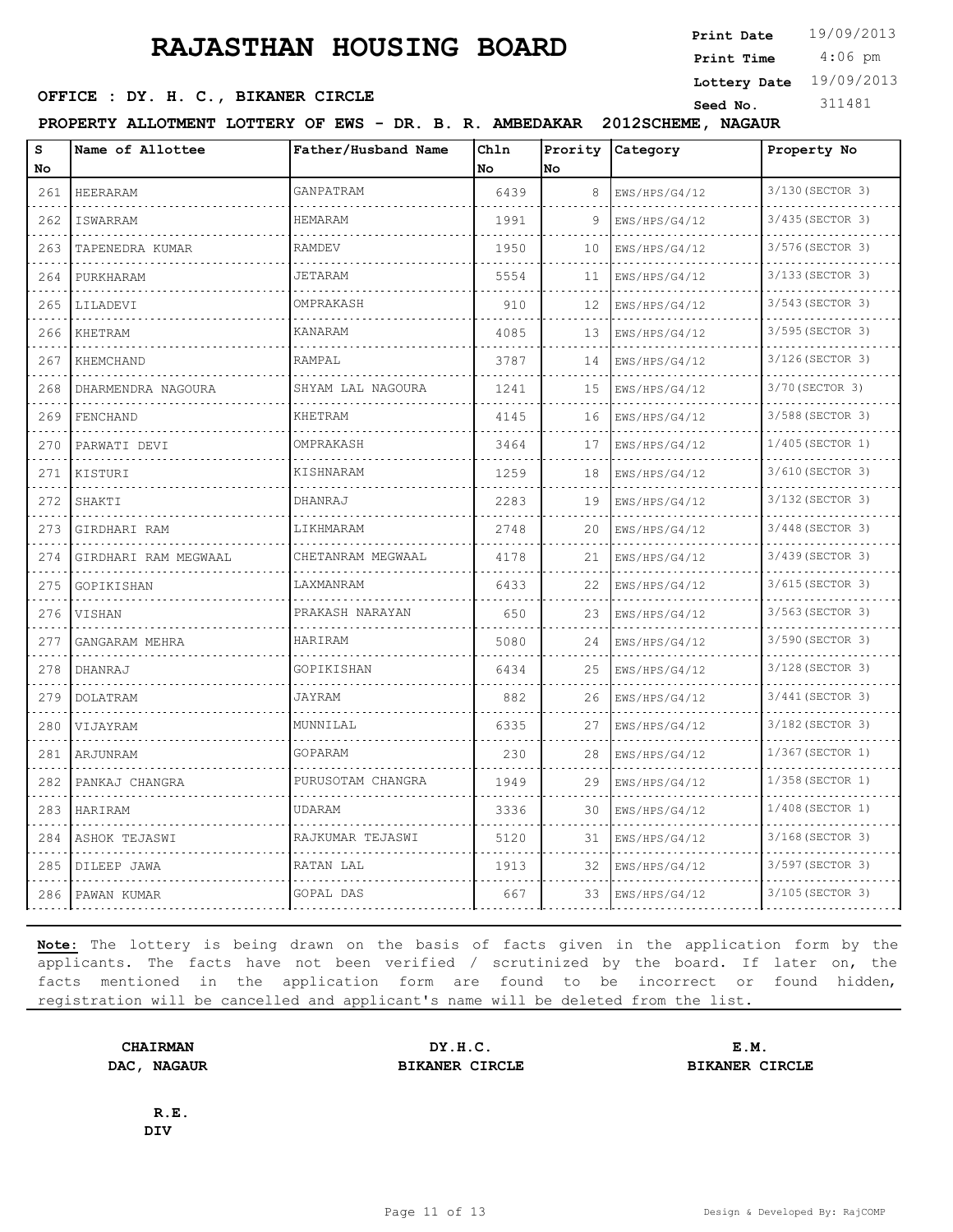4:06 pm **Print Date**  $19/09/2013$ **Print Time**

**Lottery Date** 19/09/2013

#### **SEED OFFICE : DY. H. C., BIKANER CIRCLE Seed No.** 311481

**PROPERTY ALLOTMENT LOTTERY OF EWS - DR. B. R. AMBEDAKAR 2012SCHEME, NAGAUR**

| S<br>No                                                                                                                          | Name of Allottee     | Father/Husband Name | Chln<br>No | Prority<br>No | Category      | Property No           |
|----------------------------------------------------------------------------------------------------------------------------------|----------------------|---------------------|------------|---------------|---------------|-----------------------|
| 261                                                                                                                              | HEERARAM             | GANPATRAM           | 6439       | 8             | EWS/HPS/G4/12 | 3/130 (SECTOR 3)      |
| د د د د<br>262                                                                                                                   | ISWARRAM             | <b>HEMARAM</b>      | 1991       | 9             | EWS/HPS/G4/12 | .<br>3/435 (SECTOR 3) |
| 263                                                                                                                              | TAPENEDRA KUMAR      | <b>RAMDEV</b>       | 1950       | 10            | EWS/HPS/G4/12 | 3/576 (SECTOR 3)      |
| 264                                                                                                                              | PURKHARAM            | <b>JETARAM</b>      | 5554       | 11            | EWS/HPS/G4/12 | 3/133 (SECTOR 3)      |
| 265                                                                                                                              | LILADEVI             | OMPRAKASH           | 910        | 12            | EWS/HPS/G4/12 | 3/543 (SECTOR 3)      |
| 266                                                                                                                              | KHETRAM              | <b>KANARAM</b>      | 4085       | 13            | EWS/HPS/G4/12 | 3/595 (SECTOR 3)      |
| 267                                                                                                                              | KHEMCHAND            | RAMPAL              | 3787       | 14            | EWS/HPS/G4/12 | 3/126 (SECTOR 3)      |
| الدالد الدالدا<br>268                                                                                                            | DHARMENDRA NAGOURA   | SHYAM LAL NAGOURA   | 1241       | 15            | EWS/HPS/G4/12 | 3/70 (SECTOR 3)       |
| 269                                                                                                                              | FENCHAND             | <b>KHETRAM</b>      | 4145       | 16            | EWS/HPS/G4/12 | 3/588 (SECTOR 3)      |
| 270                                                                                                                              | PARWATI DEVI         | OMPRAKASH           | 3464       | 17            | EWS/HPS/G4/12 | $1/405$ (SECTOR 1)    |
| .<br>271                                                                                                                         | KISTURI              | KISHNARAM           | 1259       | 18            | EWS/HPS/G4/12 | 3/610 (SECTOR 3)      |
| 272                                                                                                                              | SHAKTI               | DHANRAJ             | 2283       | 19            | EWS/HPS/G4/12 | 3/132 (SECTOR 3)      |
| 273                                                                                                                              | GIRDHARI RAM         | LIKHMARAM           | 2748       | 20            | EWS/HPS/G4/12 | 3/448 (SECTOR 3)      |
| .<br>274                                                                                                                         | GIRDHARI RAM MEGWAAL | CHETANRAM MEGWAAL   | 4178       | 21            | EWS/HPS/G4/12 | 3/439 (SECTOR 3)      |
| 275                                                                                                                              | GOPIKISHAN           | LAXMANRAM           | 6433       | 22            | EWS/HPS/G4/12 | 3/615 (SECTOR 3)      |
| 276                                                                                                                              | VISHAN               | PRAKASH NARAYAN     | 650        | 23            | EWS/HPS/G4/12 | 3/563 (SECTOR 3)      |
| .<br>277                                                                                                                         | GANGARAM MEHRA       | HARIRAM             | 5080       | 24            | EWS/HPS/G4/12 | 3/590 (SECTOR 3)      |
| $- - - -$<br>278                                                                                                                 | DHANRAJ              | GOPIKISHAN          | 6434       | 25            | EWS/HPS/G4/12 | 3/128 (SECTOR 3)      |
| 279                                                                                                                              | DOLATRAM             | JAYRAM              | 882        | 26            | EWS/HPS/G4/12 | 3/441 (SECTOR 3)      |
| 280                                                                                                                              | VIJAYRAM             | MUNNILAL            | 6335       | 27            | EWS/HPS/G4/12 | 3/182 (SECTOR 3)      |
| $- - - -$<br>281                                                                                                                 | ARJUNRAM             | GOPARAM             | 230        | 28            | EWS/HPS/G4/12 | 1/367(SECTOR 1)       |
| $\frac{1}{2} \left( \frac{1}{2} \right) \left( \frac{1}{2} \right) \left( \frac{1}{2} \right) \left( \frac{1}{2} \right)$<br>282 | PANKAJ CHANGRA       | PURUSOTAM CHANGRA   | 1949       | 29            | EWS/HPS/G4/12 | 1/358 (SECTOR 1)      |
| 283                                                                                                                              | HARIRAM              | <b>UDARAM</b>       | 3336       | 30            | EWS/HPS/G4/12 | 1/408 (SECTOR 1)      |
| 284                                                                                                                              | ASHOK TEJASWI        | RAJKUMAR TEJASWI    | 5120       | 31            | EWS/HPS/G4/12 | 3/168(SECTOR 3)       |
| 285                                                                                                                              | DILEEP JAWA          | RATAN LAL           | 1913       | 32            | EWS/HPS/G4/12 | 3/597 (SECTOR 3)      |
| 286                                                                                                                              | PAWAN KUMAR          | GOPAL DAS           | 667        | 33            | EWS/HPS/G4/12 | 3/105 (SECTOR 3)      |

**Note:** The lottery is being drawn on the basis of facts given in the application form by the applicants. The facts have not been verified / scrutinized by the board. If later on, the facts mentioned in the application form are found to be incorrect or found hidden, registration will be cancelled and applicant's name will be deleted from the list.

**CHAIRMAN DY.H.C. E.M. DAC, NAGAUR BIKANER CIRCLE BIKANER CIRCLE**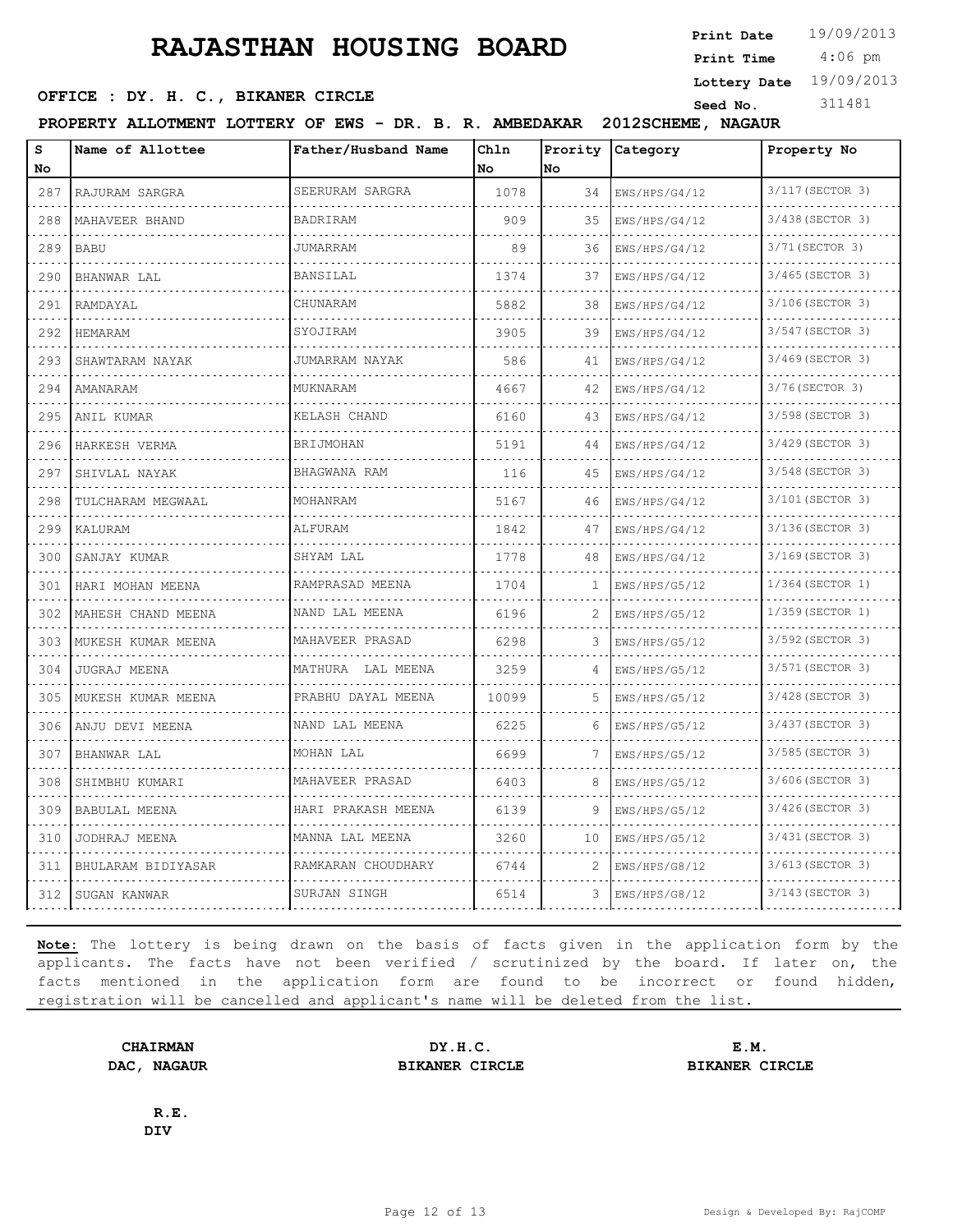**SEED OFFICE : DY. H. C., BIKANER CIRCLE Seed No.** 311481

**Print Date**  $19/09/2013$ 

 4:06 pm **Print Time Lottery Date** 19/09/2013

**PROPERTY ALLOTMENT LOTTERY OF EWS - DR. B. R. AMBEDAKAR 2012SCHEME, NAGAUR**

| S<br>No        | Name of Allottee        | Father/Husband Name    | Chln<br>l No | Prority<br>No. | Category                               | Property No           |
|----------------|-------------------------|------------------------|--------------|----------------|----------------------------------------|-----------------------|
| 287            | RAJURAM SARGRA          | SEERURAM SARGRA        | 1078         | 34             | EWS/HPS/G4/12                          | 3/117 (SECTOR 3)      |
| .<br>288       | MAHAVEER BHAND          | BADRIRAM               | 909          | 35             | EWS/HPS/G4/12                          | 3/438 (SECTOR 3)      |
| 289            | <b>BABU</b>             | <b>JUMARRAM</b>        | 89           | 36             | EWS/HPS/G4/12                          | 3/71 (SECTOR 3)       |
| 290            | BHANWAR LAL             | <b>BANSILAL</b>        | 1374         | 37             | EWS/HPS/G4/12                          | 3/465 (SECTOR 3)      |
| .<br>291       | RAMDAYAL                | CHUNARAM               | 5882         | 38             | dia dia dia dia dia 4<br>EWS/HPS/G4/12 | .<br>3/106(SECTOR 3)  |
| 292            | HEMARAM                 | SYOJIRAM               | 3905         | 39             | EWS/HPS/G4/12                          | 3/547 (SECTOR 3)      |
| 293            | SHAWTARAM NAYAK         | JUMARRAM NAYAK         | 586          | 41             | EWS/HPS/G4/12                          | 3/469 (SECTOR 3)<br>. |
| 294            | AMANARAM                | MUKNARAM               | 4667         | 42             | EWS/HPS/G4/12                          | 3/76 (SECTOR 3)       |
| 295            | ANIL KUMAR              | KELASH CHAND           | 6160         | 43             | EWS/HPS/G4/12                          | 3/598 (SECTOR 3)      |
| 296            | HARKESH VERMA           | <b>BRIJMOHAN</b><br>.  | 5191         | 44             | EWS/HPS/G4/12                          | 3/429 (SECTOR 3)      |
| د د د د<br>297 | SHIVLAL NAYAK           | BHAGWANA RAM           | 116          | 45             | EWS/HPS/G4/12                          | 3/548 (SECTOR 3)      |
| 298            | TULCHARAM MEGWAAL       | MOHANRAM               | 5167         | 46             | EWS/HPS/G4/12                          | 3/101 (SECTOR 3)      |
| 299            | KALURAM                 | ALFURAM                | 1842         | 47             | EWS/HPS/G4/12                          | 3/136 (SECTOR 3)      |
| .<br>300       | SANJAY KUMAR            | SHYAM LAL              | 1778         | 48             | EWS/HPS/G4/12                          | 3/169 (SECTOR 3)      |
| 301            | HARI MOHAN MEENA        | RAMPRASAD MEENA        | 1704         | 1              | EWS/HPS/G5/12                          | 1/364 (SECTOR 1)      |
| 302            | .<br>MAHESH CHAND MEENA | NAND LAL MEENA<br>.    | 6196         | 2              | EWS/HPS/G5/12                          | 1/359 (SECTOR 1)<br>. |
| د د د د<br>303 | MUKESH KUMAR MEENA      | MAHAVEER PRASAD        | 6298         |                | EWS/HPS/G5/12                          | 3/592 (SECTOR 3)      |
| 304            | <b>JUGRAJ MEENA</b>     | MATHURA LAL MEENA<br>. | 3259         | 4              | EWS/HPS/G5/12                          | 3/571 (SECTOR 3)      |
| 305            | MUKESH KUMAR MEENA      | PRABHU DAYAL MEENA     | 10099        | 5              | EWS/HPS/G5/12                          | 3/428 (SECTOR 3)      |
| 306            | ANJU DEVI MEENA         | NAND LAL MEENA         | 6225         | 6              | EWS/HPS/G5/12                          | 3/437 (SECTOR 3)      |
| 307            | BHANWAR LAL             | MOHAN LAL              | 6699         | 7              | EWS/HPS/G5/12                          | 3/585 (SECTOR 3)      |
| 308            | SHIMBHU KUMARI          | MAHAVEER PRASAD        | 6403         | 8              | EWS/HPS/G5/12                          | 3/606(SECTOR 3)       |
| 309            | <b>BABULAL MEENA</b>    | HARI PRAKASH MEENA     | 6139         | 9              | EWS/HPS/G5/12                          | 3/426 (SECTOR 3)      |
| 310            | JODHRAJ MEENA           | MANNA LAL MEENA        | 3260         | 10             | EWS/HPS/G5/12                          | 3/431 (SECTOR 3)      |
| 311            | BHULARAM BIDIYASAR      | RAMKARAN CHOUDHARY     | 6744         | 2              | EWS/HPS/G8/12                          | 3/613 (SECTOR 3)      |
| 312            | SUGAN KANWAR            | SURJAN SINGH           | 6514         | 3              | EWS/HPS/G8/12                          | 3/143(SECTOR 3)       |

**Note:** The lottery is being drawn on the basis of facts given in the application form by the applicants. The facts have not been verified / scrutinized by the board. If later on, the facts mentioned in the application form are found to be incorrect or found hidden, registration will be cancelled and applicant's name will be deleted from the list.

**CHAIRMAN DY.H.C. E.M. DAC, NAGAUR BIKANER CIRCLE BIKANER CIRCLE**